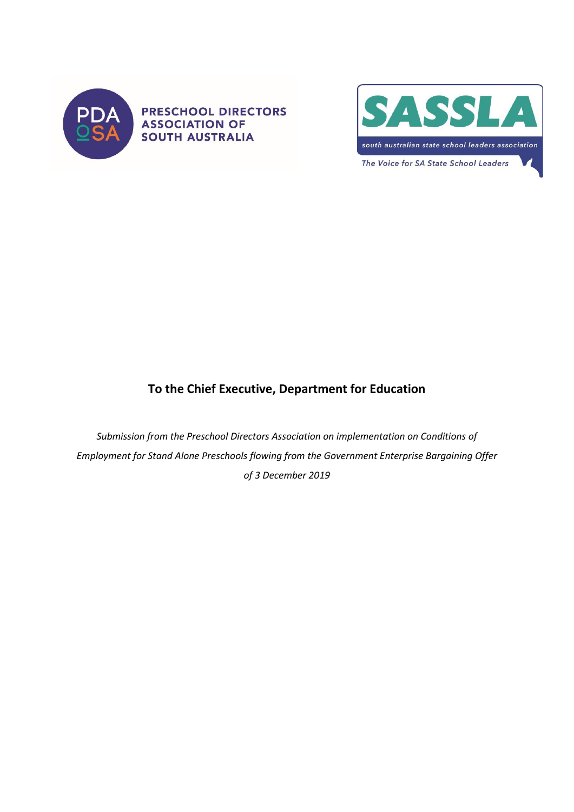

**PRESCHOOL DIRECTORS ASSOCIATION OF SOUTH AUSTRALIA** 



# **To the Chief Executive, Department for Education**

*Submission from the Preschool Directors Association on implementation on Conditions of Employment for Stand Alone Preschools flowing from the Government Enterprise Bargaining Offer of 3 December 2019*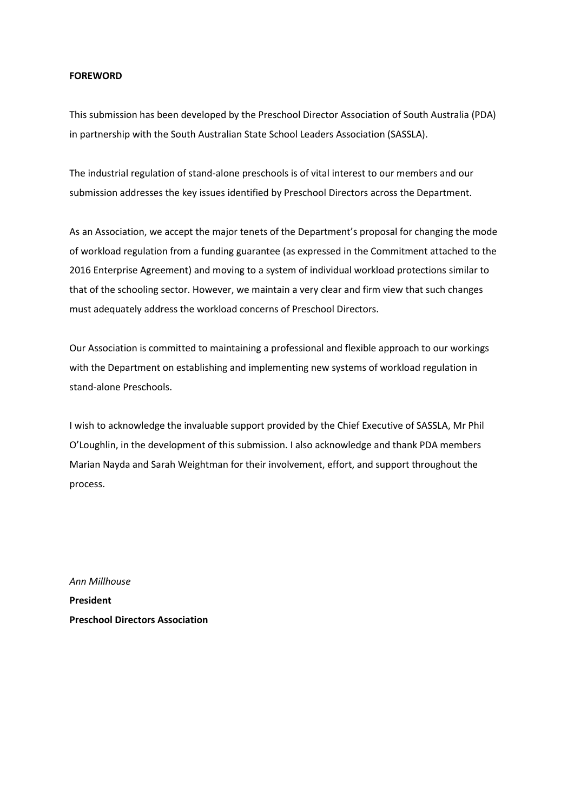#### **FOREWORD**

This submission has been developed by the Preschool Director Association of South Australia (PDA) in partnership with the South Australian State School Leaders Association (SASSLA).

The industrial regulation of stand-alone preschools is of vital interest to our members and our submission addresses the key issues identified by Preschool Directors across the Department.

As an Association, we accept the major tenets of the Department's proposal for changing the mode of workload regulation from a funding guarantee (as expressed in the Commitment attached to the 2016 Enterprise Agreement) and moving to a system of individual workload protections similar to that of the schooling sector. However, we maintain a very clear and firm view that such changes must adequately address the workload concerns of Preschool Directors.

Our Association is committed to maintaining a professional and flexible approach to our workings with the Department on establishing and implementing new systems of workload regulation in stand-alone Preschools.

I wish to acknowledge the invaluable support provided by the Chief Executive of SASSLA, Mr Phil O'Loughlin, in the development of this submission. I also acknowledge and thank PDA members Marian Nayda and Sarah Weightman for their involvement, effort, and support throughout the process.

*Ann Millhouse* **President Preschool Directors Association**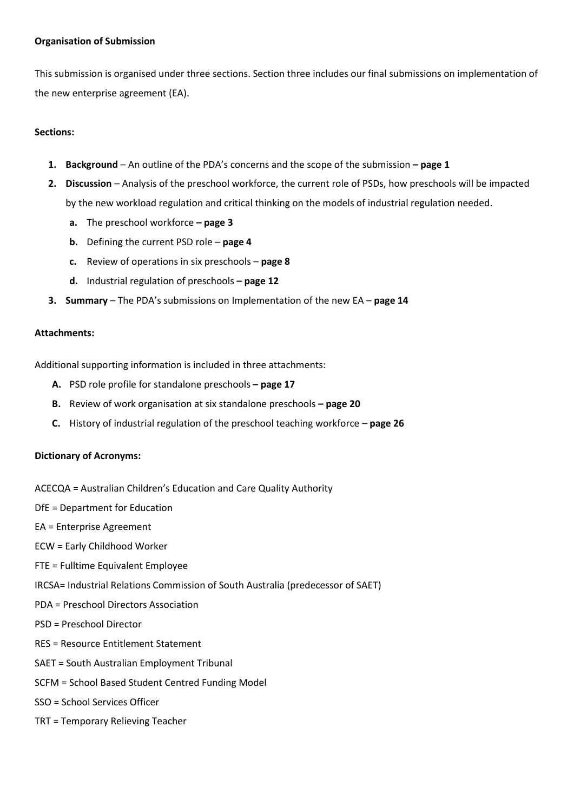#### **Organisation of Submission**

This submission is organised under three sections. Section three includes our final submissions on implementation of the new enterprise agreement (EA).

#### **Sections:**

- **1. Background** An outline of the PDA's concerns and the scope of the submission **– page 1**
- **2. Discussion** Analysis of the preschool workforce, the current role of PSDs, how preschools will be impacted by the new workload regulation and critical thinking on the models of industrial regulation needed.
	- **a.** The preschool workforce **– page 3**
	- **b.** Defining the current PSD role **page 4**
	- **c.** Review of operations in six preschools **page 8**
	- **d.** Industrial regulation of preschools **– page 12**
- **3. Summary** The PDA's submissions on Implementation of the new EA **page 14**

#### **Attachments:**

Additional supporting information is included in three attachments:

- **A.** PSD role profile for standalone preschools **– page 17**
- **B.** Review of work organisation at six standalone preschools **– page 20**
- **C.** History of industrial regulation of the preschool teaching workforce **page 26**

#### **Dictionary of Acronyms:**

ACECQA = Australian Children's Education and Care Quality Authority

DfE = Department for Education

- EA = Enterprise Agreement
- ECW = Early Childhood Worker
- FTE = Fulltime Equivalent Employee
- IRCSA= Industrial Relations Commission of South Australia (predecessor of SAET)
- PDA = Preschool Directors Association
- PSD = Preschool Director
- RES = Resource Entitlement Statement
- SAET = South Australian Employment Tribunal
- SCFM = School Based Student Centred Funding Model
- SSO = School Services Officer
- TRT = Temporary Relieving Teacher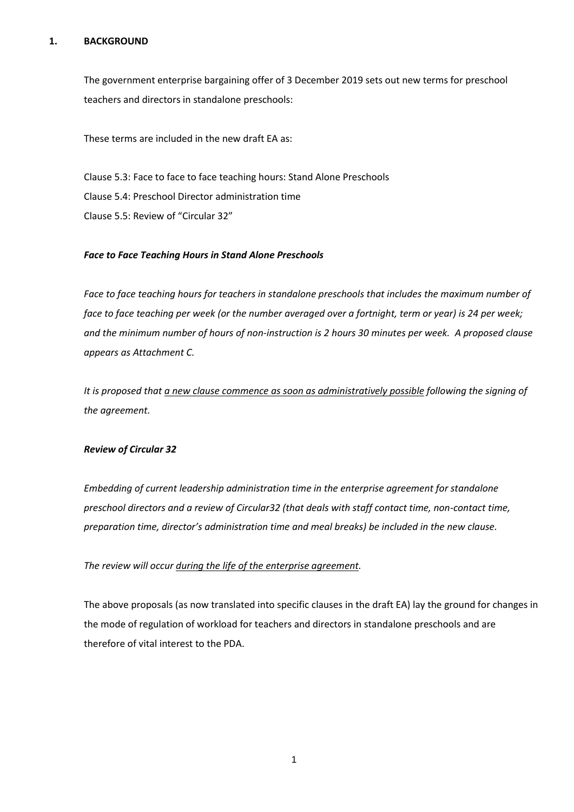#### **1. BACKGROUND**

The government enterprise bargaining offer of 3 December 2019 sets out new terms for preschool teachers and directors in standalone preschools:

These terms are included in the new draft EA as:

Clause 5.3: Face to face to face teaching hours: Stand Alone Preschools Clause 5.4: Preschool Director administration time Clause 5.5: Review of "Circular 32"

#### *Face to Face Teaching Hours in Stand Alone Preschools*

*Face to face teaching hours for teachers in standalone preschools that includes the maximum number of face to face teaching per week (or the number averaged over a fortnight, term or year) is 24 per week; and the minimum number of hours of non-instruction is 2 hours 30 minutes per week. A proposed clause appears as Attachment C.*

*It is proposed that a new clause commence as soon as administratively possible following the signing of the agreement.*

#### *Review of Circular 32*

*Embedding of current leadership administration time in the enterprise agreement for standalone preschool directors and a review of Circular32 (that deals with staff contact time, non-contact time, preparation time, director's administration time and meal breaks) be included in the new clause.* 

*The review will occur during the life of the enterprise agreement.*

The above proposals (as now translated into specific clauses in the draft EA) lay the ground for changes in the mode of regulation of workload for teachers and directors in standalone preschools and are therefore of vital interest to the PDA.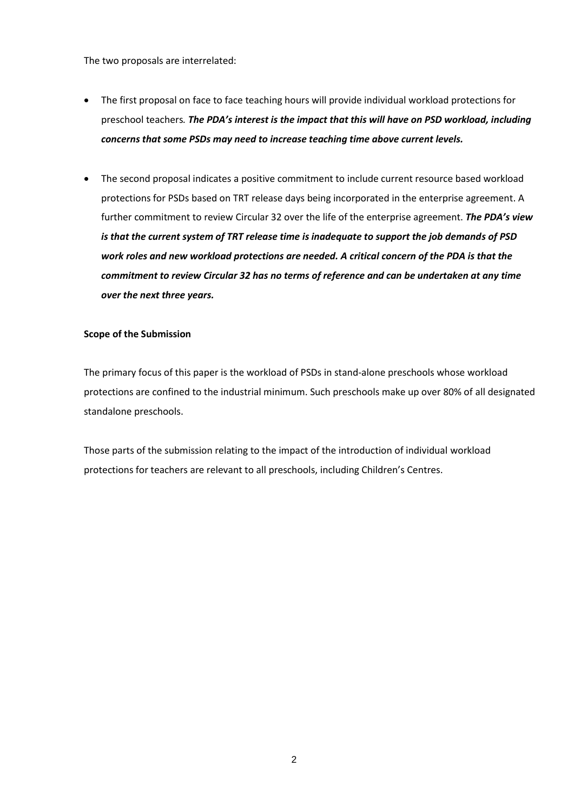The two proposals are interrelated:

- The first proposal on face to face teaching hours will provide individual workload protections for preschool teachers*. The PDA's interest is the impact that this will have on PSD workload, including concerns that some PSDs may need to increase teaching time above current levels.*
- The second proposal indicates a positive commitment to include current resource based workload protections for PSDs based on TRT release days being incorporated in the enterprise agreement. A further commitment to review Circular 32 over the life of the enterprise agreement. *The PDA's view is that the current system of TRT release time is inadequate to support the job demands of PSD work roles and new workload protections are needed. A critical concern of the PDA is that the commitment to review Circular 32 has no terms of reference and can be undertaken at any time over the next three years.*

#### **Scope of the Submission**

The primary focus of this paper is the workload of PSDs in stand-alone preschools whose workload protections are confined to the industrial minimum. Such preschools make up over 80% of all designated standalone preschools.

Those parts of the submission relating to the impact of the introduction of individual workload protections for teachers are relevant to all preschools, including Children's Centres.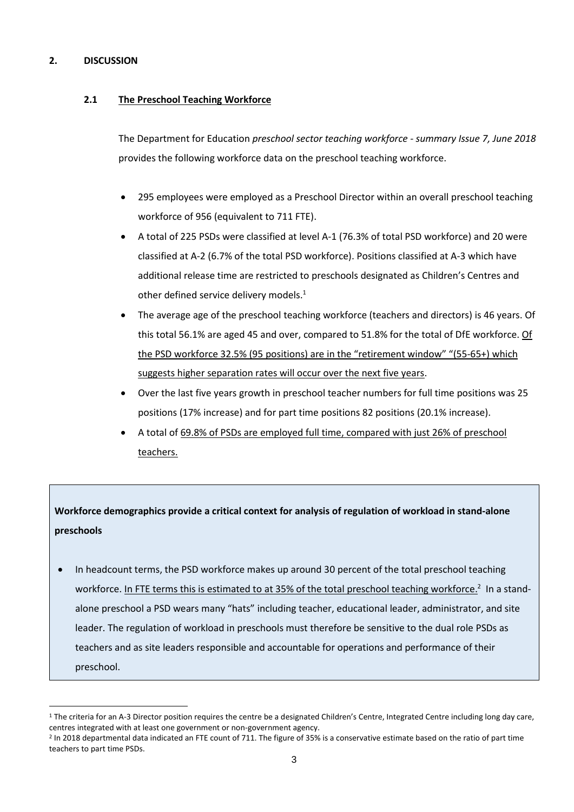### **2. DISCUSSION**

## **2.1 The Preschool Teaching Workforce**

The Department for Education *preschool sector teaching workforce - summary Issue 7, June 2018*  provides the following workforce data on the preschool teaching workforce.

- 295 employees were employed as a Preschool Director within an overall preschool teaching workforce of 956 (equivalent to 711 FTE).
- A total of 225 PSDs were classified at level A-1 (76.3% of total PSD workforce) and 20 were classified at A-2 (6.7% of the total PSD workforce). Positions classified at A-3 which have additional release time are restricted to preschools designated as Children's Centres and other defined service delivery models.<sup>1</sup>
- The average age of the preschool teaching workforce (teachers and directors) is 46 years. Of this total 56.1% are aged 45 and over, compared to 51.8% for the total of DfE workforce. Of the PSD workforce 32.5% (95 positions) are in the "retirement window" "(55-65+) which suggests higher separation rates will occur over the next five years.
- Over the last five years growth in preschool teacher numbers for full time positions was 25 positions (17% increase) and for part time positions 82 positions (20.1% increase).
- A total of 69.8% of PSDs are employed full time, compared with just 26% of preschool teachers.

# **Workforce demographics provide a critical context for analysis of regulation of workload in stand-alone preschools**

• In headcount terms, the PSD workforce makes up around 30 percent of the total preschool teaching workforce. In FTE terms this is estimated to at 35% of the total preschool teaching workforce.<sup>2</sup> In a standalone preschool a PSD wears many "hats" including teacher, educational leader, administrator, and site leader. The regulation of workload in preschools must therefore be sensitive to the dual role PSDs as teachers and as site leaders responsible and accountable for operations and performance of their preschool.

<sup>&</sup>lt;sup>1</sup> The criteria for an A-3 Director position requires the centre be a designated Children's Centre, Integrated Centre including long day care, centres integrated with at least one government or non-government agency.

<sup>2</sup> In 2018 departmental data indicated an FTE count of 711. The figure of 35% is a conservative estimate based on the ratio of part time teachers to part time PSDs.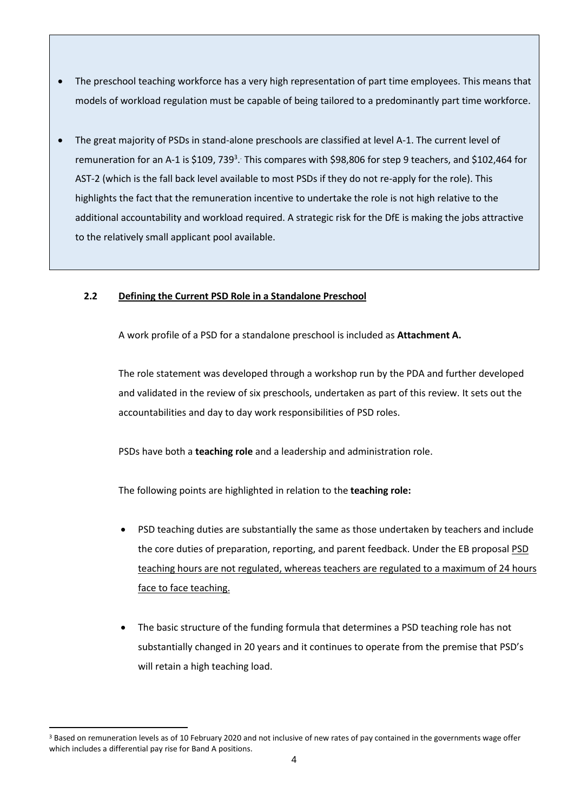- The preschool teaching workforce has a very high representation of part time employees. This means that models of workload regulation must be capable of being tailored to a predominantly part time workforce.
- The great majority of PSDs in stand-alone preschools are classified at level A-1. The current level of remuneration for an A-1 is \$109, 739<sup>3</sup>. This compares with \$98,806 for step 9 teachers, and \$102,464 for AST-2 (which is the fall back level available to most PSDs if they do not re-apply for the role). This highlights the fact that the remuneration incentive to undertake the role is not high relative to the additional accountability and workload required. A strategic risk for the DfE is making the jobs attractive to the relatively small applicant pool available.

# **2.2 Defining the Current PSD Role in a Standalone Preschool**

A work profile of a PSD for a standalone preschool is included as **Attachment A.**

The role statement was developed through a workshop run by the PDA and further developed and validated in the review of six preschools, undertaken as part of this review. It sets out the accountabilities and day to day work responsibilities of PSD roles.

PSDs have both a **teaching role** and a leadership and administration role.

The following points are highlighted in relation to the **teaching role:**

- PSD teaching duties are substantially the same as those undertaken by teachers and include the core duties of preparation, reporting, and parent feedback. Under the EB proposal PSD teaching hours are not regulated, whereas teachers are regulated to a maximum of 24 hours face to face teaching.
- The basic structure of the funding formula that determines a PSD teaching role has not substantially changed in 20 years and it continues to operate from the premise that PSD's will retain a high teaching load.

<sup>&</sup>lt;sup>3</sup> Based on remuneration levels as of 10 February 2020 and not inclusive of new rates of pay contained in the governments wage offer which includes a differential pay rise for Band A positions.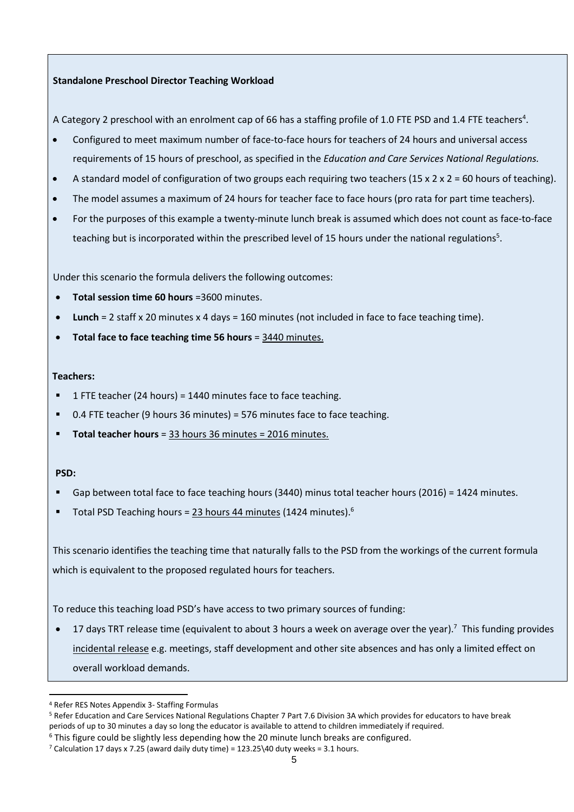#### **Standalone Preschool Director Teaching Workload**

A Category 2 preschool with an enrolment cap of 66 has a staffing profile of 1.0 FTE PSD and 1.4 FTE teachers<sup>4</sup>.

- Configured to meet maximum number of face-to-face hours for teachers of 24 hours and universal access requirements of 15 hours of preschool, as specified in the *Education and Care Services National Regulations.*
- A standard model of configuration of two groups each requiring two teachers (15 x 2 x 2 = 60 hours of teaching).
- The model assumes a maximum of 24 hours for teacher face to face hours (pro rata for part time teachers).
- For the purposes of this example a twenty-minute lunch break is assumed which does not count as face-to-face teaching but is incorporated within the prescribed level of 15 hours under the national regulations<sup>5</sup>.

Under this scenario the formula delivers the following outcomes:

- **Total session time 60 hours** =3600 minutes.
- **Lunch** = 2 staff x 20 minutes x 4 days = 160 minutes (not included in face to face teaching time).
- **Total face to face teaching time 56 hours** = 3440 minutes.

#### **Teachers:**

- 1 FTE teacher (24 hours) = 1440 minutes face to face teaching.
- 0.4 FTE teacher (9 hours 36 minutes) = 576 minutes face to face teaching.
- **Total teacher hours** = 33 hours 36 minutes = 2016 minutes.

#### **PSD:**

- Gap between total face to face teaching hours (3440) minus total teacher hours (2016) = 1424 minutes.
- **Total PSD Teaching hours =**  $23$  **hours 44 minutes (1424 minutes).**<sup>6</sup>

This scenario identifies the teaching time that naturally falls to the PSD from the workings of the current formula which is equivalent to the proposed regulated hours for teachers.

To reduce this teaching load PSD's have access to two primary sources of funding:

• 17 days TRT release time (equivalent to about 3 hours a week on average over the year).<sup>7</sup> This funding provides incidental release e.g. meetings, staff development and other site absences and has only a limited effect on overall workload demands.

<sup>4</sup> Refer RES Notes Appendix 3- Staffing Formulas

<sup>5</sup> Refer Education and Care Services National Regulations Chapter 7 Part 7.6 Division 3A which provides for educators to have break periods of up to 30 minutes a day so long the educator is available to attend to children immediately if required.

 $6$  This figure could be slightly less depending how the 20 minute lunch breaks are configured.

 $7$  Calculation 17 days x 7.25 (award daily duty time) = 123.25\40 duty weeks = 3.1 hours.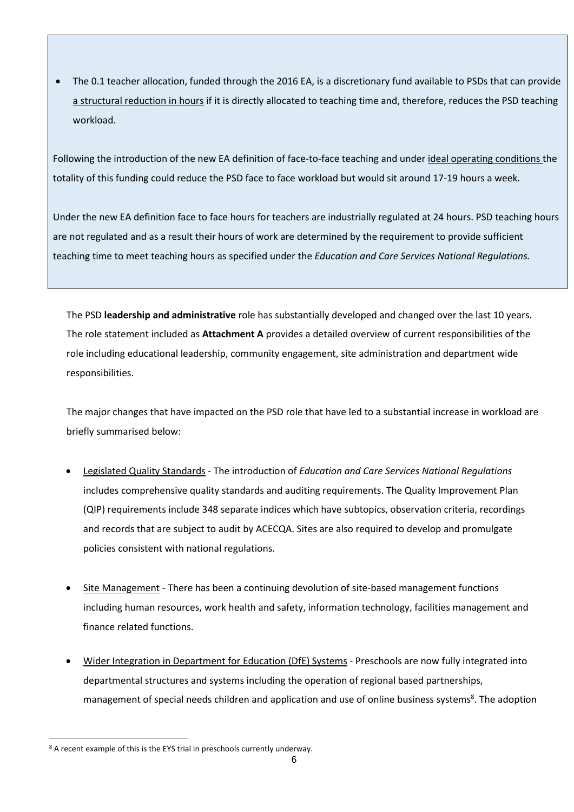• The 0.1 teacher allocation, funded through the 2016 EA, is a discretionary fund available to PSDs that can provide a structural reduction in hours if it is directly allocated to teaching time and, therefore, reduces the PSD teaching workload.

Following the introduction of the new EA definition of face-to-face teaching and under ideal operating conditions the totality of this funding could reduce the PSD face to face workload but would sit around 17-19 hours a week.

Under the new EA definition face to face hours for teachers are industrially regulated at 24 hours. PSD teaching hours are not regulated and as a result their hours of work are determined by the requirement to provide sufficient teaching time to meet teaching hours as specified under the *Education and Care Services National Regulations.*

The PSD **leadership and administrative** role has substantially developed and changed over the last 10 years. The role statement included as **Attachment A** provides a detailed overview of current responsibilities of the role including educational leadership, community engagement, site administration and department wide responsibilities.

The major changes that have impacted on the PSD role that have led to a substantial increase in workload are briefly summarised below:

- Legislated Quality Standards The introduction of *Education and Care Services National Regulations* includes comprehensive quality standards and auditing requirements. The Quality Improvement Plan (QIP) requirements include 348 separate indices which have subtopics, observation criteria, recordings and records that are subject to audit by ACECQA. Sites are also required to develop and promulgate policies consistent with national regulations.
- Site Management There has been a continuing devolution of site-based management functions including human resources, work health and safety, information technology, facilities management and finance related functions.
- Wider Integration in Department for Education (DfE) Systems Preschools are now fully integrated into departmental structures and systems including the operation of regional based partnerships, management of special needs children and application and use of online business systems<sup>8</sup>. The adoption

<sup>8</sup> A recent example of this is the EYS trial in preschools currently underway.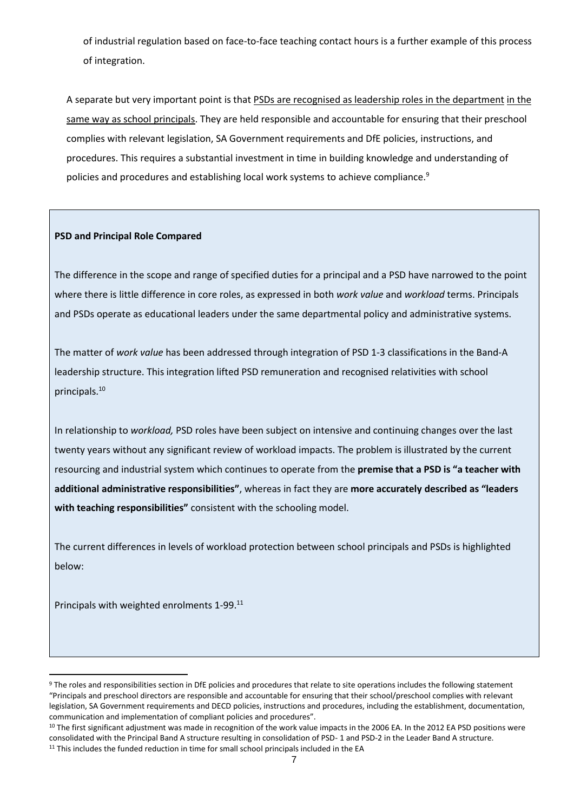of industrial regulation based on face-to-face teaching contact hours is a further example of this process of integration.

A separate but very important point is that PSDs are recognised as leadership roles in the department in the same way as school principals. They are held responsible and accountable for ensuring that their preschool complies with relevant legislation, SA Government requirements and DfE policies, instructions, and procedures. This requires a substantial investment in time in building knowledge and understanding of policies and procedures and establishing local work systems to achieve compliance.<sup>9</sup>

#### **PSD and Principal Role Compared**

The difference in the scope and range of specified duties for a principal and a PSD have narrowed to the point where there is little difference in core roles, as expressed in both *work value* and *workload* terms. Principals and PSDs operate as educational leaders under the same departmental policy and administrative systems.

The matter of *work value* has been addressed through integration of PSD 1-3 classifications in the Band-A leadership structure. This integration lifted PSD remuneration and recognised relativities with school principals. 10

In relationship to *workload,* PSD roles have been subject on intensive and continuing changes over the last twenty years without any significant review of workload impacts. The problem is illustrated by the current resourcing and industrial system which continues to operate from the **premise that a PSD is "a teacher with additional administrative responsibilities"**, whereas in fact they are **more accurately described as "leaders with teaching responsibilities"** consistent with the schooling model.

The current differences in levels of workload protection between school principals and PSDs is highlighted below:

Principals with weighted enrolments 1-99.<sup>11</sup>

<sup>9</sup> The roles and responsibilities section in DfE policies and procedures that relate to site operations includes the following statement "Principals and preschool directors are responsible and accountable for ensuring that their school/preschool complies with relevant legislation, SA Government requirements and DECD policies, instructions and procedures, including the establishment, documentation, communication and implementation of compliant policies and procedures".

<sup>&</sup>lt;sup>10</sup> The first significant adjustment was made in recognition of the work value impacts in the 2006 EA. In the 2012 EA PSD positions were consolidated with the Principal Band A structure resulting in consolidation of PSD- 1 and PSD-2 in the Leader Band A structure. <sup>11</sup> This includes the funded reduction in time for small school principals included in the EA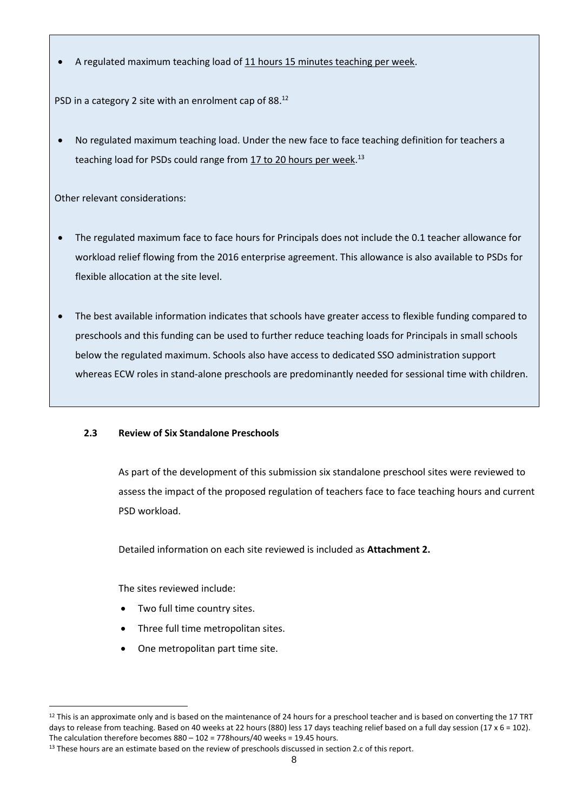• A regulated maximum teaching load of 11 hours 15 minutes teaching per week.

PSD in a category 2 site with an enrolment cap of 88.<sup>12</sup>

• No regulated maximum teaching load. Under the new face to face teaching definition for teachers a teaching load for PSDs could range from 17 to 20 hours per week.<sup>13</sup>

Other relevant considerations:

- The regulated maximum face to face hours for Principals does not include the 0.1 teacher allowance for workload relief flowing from the 2016 enterprise agreement. This allowance is also available to PSDs for flexible allocation at the site level.
- The best available information indicates that schools have greater access to flexible funding compared to preschools and this funding can be used to further reduce teaching loads for Principals in small schools below the regulated maximum. Schools also have access to dedicated SSO administration support whereas ECW roles in stand-alone preschools are predominantly needed for sessional time with children.

# **2.3 Review of Six Standalone Preschools**

As part of the development of this submission six standalone preschool sites were reviewed to assess the impact of the proposed regulation of teachers face to face teaching hours and current PSD workload.

Detailed information on each site reviewed is included as **Attachment 2.**

The sites reviewed include:

- Two full time country sites.
- Three full time metropolitan sites.
- One metropolitan part time site.

 $12$  This is an approximate only and is based on the maintenance of 24 hours for a preschool teacher and is based on converting the 17 TRT days to release from teaching. Based on 40 weeks at 22 hours (880) less 17 days teaching relief based on a full day session (17 x 6 = 102). The calculation therefore becomes  $880 - 102 = 778$ hours/40 weeks = 19.45 hours.

<sup>&</sup>lt;sup>13</sup> These hours are an estimate based on the review of preschools discussed in section 2.c of this report.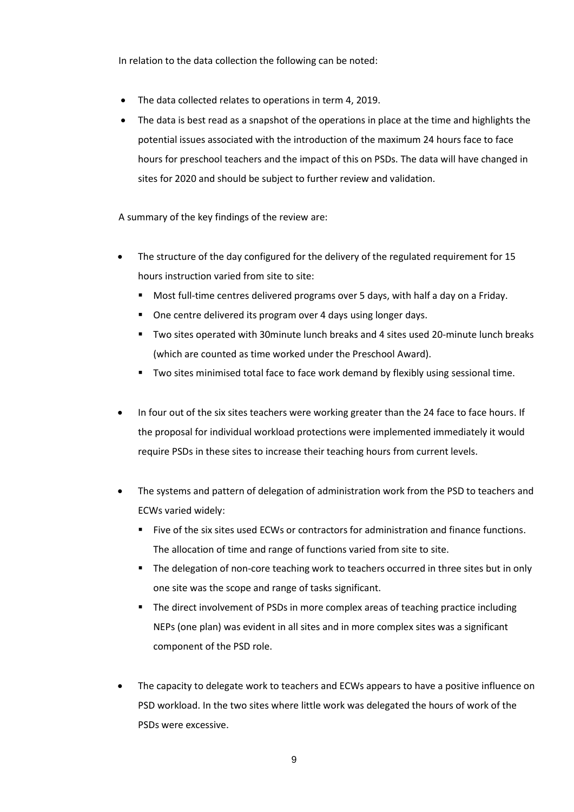In relation to the data collection the following can be noted:

- The data collected relates to operations in term 4, 2019.
- The data is best read as a snapshot of the operations in place at the time and highlights the potential issues associated with the introduction of the maximum 24 hours face to face hours for preschool teachers and the impact of this on PSDs. The data will have changed in sites for 2020 and should be subject to further review and validation.

A summary of the key findings of the review are:

- The structure of the day configured for the delivery of the regulated requirement for 15 hours instruction varied from site to site:
	- **■** Most full-time centres delivered programs over 5 days, with half a day on a Friday.
	- One centre delivered its program over 4 days using longer days.
	- Two sites operated with 30minute lunch breaks and 4 sites used 20-minute lunch breaks (which are counted as time worked under the Preschool Award).
	- Two sites minimised total face to face work demand by flexibly using sessional time.
- In four out of the six sites teachers were working greater than the 24 face to face hours. If the proposal for individual workload protections were implemented immediately it would require PSDs in these sites to increase their teaching hours from current levels.
- The systems and pattern of delegation of administration work from the PSD to teachers and ECWs varied widely:
	- Five of the six sites used ECWs or contractors for administration and finance functions. The allocation of time and range of functions varied from site to site.
	- The delegation of non-core teaching work to teachers occurred in three sites but in only one site was the scope and range of tasks significant.
	- The direct involvement of PSDs in more complex areas of teaching practice including NEPs (one plan) was evident in all sites and in more complex sites was a significant component of the PSD role.
- The capacity to delegate work to teachers and ECWs appears to have a positive influence on PSD workload. In the two sites where little work was delegated the hours of work of the PSDs were excessive.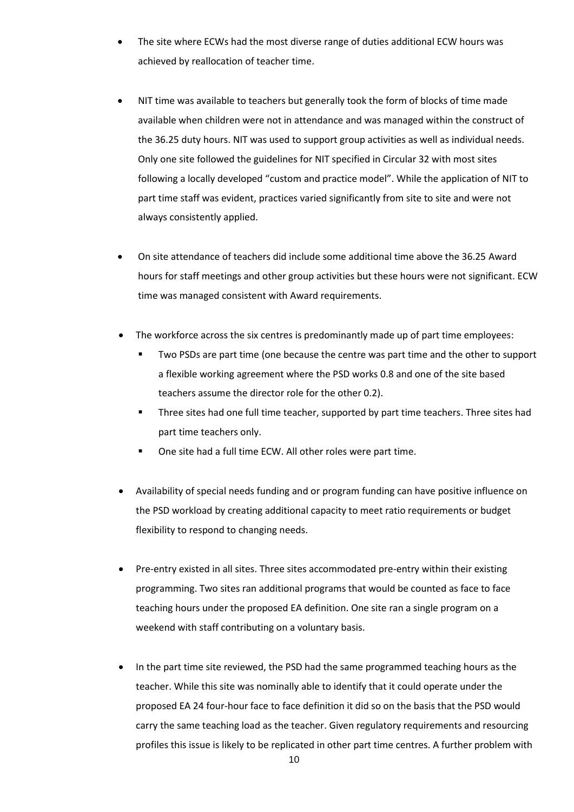- The site where ECWs had the most diverse range of duties additional ECW hours was achieved by reallocation of teacher time.
- NIT time was available to teachers but generally took the form of blocks of time made available when children were not in attendance and was managed within the construct of the 36.25 duty hours. NIT was used to support group activities as well as individual needs. Only one site followed the guidelines for NIT specified in Circular 32 with most sites following a locally developed "custom and practice model". While the application of NIT to part time staff was evident, practices varied significantly from site to site and were not always consistently applied.
- On site attendance of teachers did include some additional time above the 36.25 Award hours for staff meetings and other group activities but these hours were not significant. ECW time was managed consistent with Award requirements.
- The workforce across the six centres is predominantly made up of part time employees:
	- Two PSDs are part time (one because the centre was part time and the other to support a flexible working agreement where the PSD works 0.8 and one of the site based teachers assume the director role for the other 0.2).
	- Three sites had one full time teacher, supported by part time teachers. Three sites had part time teachers only.
	- One site had a full time ECW. All other roles were part time.
- Availability of special needs funding and or program funding can have positive influence on the PSD workload by creating additional capacity to meet ratio requirements or budget flexibility to respond to changing needs.
- Pre-entry existed in all sites. Three sites accommodated pre-entry within their existing programming. Two sites ran additional programs that would be counted as face to face teaching hours under the proposed EA definition. One site ran a single program on a weekend with staff contributing on a voluntary basis.
- In the part time site reviewed, the PSD had the same programmed teaching hours as the teacher. While this site was nominally able to identify that it could operate under the proposed EA 24 four-hour face to face definition it did so on the basis that the PSD would carry the same teaching load as the teacher. Given regulatory requirements and resourcing profiles this issue is likely to be replicated in other part time centres. A further problem with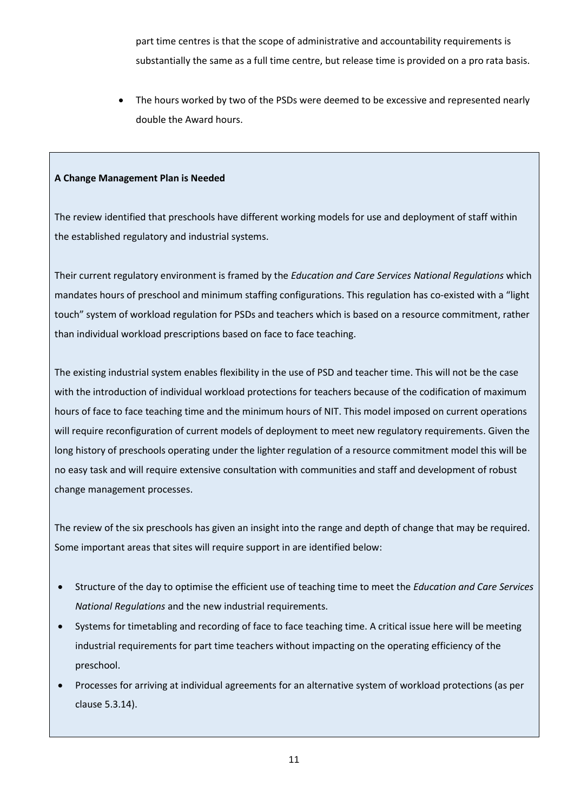part time centres is that the scope of administrative and accountability requirements is substantially the same as a full time centre, but release time is provided on a pro rata basis.

The hours worked by two of the PSDs were deemed to be excessive and represented nearly double the Award hours.

#### **A Change Management Plan is Needed**

The review identified that preschools have different working models for use and deployment of staff within the established regulatory and industrial systems.

Their current regulatory environment is framed by the *Education and Care Services National Regulations* which mandates hours of preschool and minimum staffing configurations. This regulation has co-existed with a "light touch" system of workload regulation for PSDs and teachers which is based on a resource commitment, rather than individual workload prescriptions based on face to face teaching.

The existing industrial system enables flexibility in the use of PSD and teacher time. This will not be the case with the introduction of individual workload protections for teachers because of the codification of maximum hours of face to face teaching time and the minimum hours of NIT. This model imposed on current operations will require reconfiguration of current models of deployment to meet new regulatory requirements. Given the long history of preschools operating under the lighter regulation of a resource commitment model this will be no easy task and will require extensive consultation with communities and staff and development of robust change management processes.

The review of the six preschools has given an insight into the range and depth of change that may be required. Some important areas that sites will require support in are identified below:

- Structure of the day to optimise the efficient use of teaching time to meet the *Education and Care Services National Regulations* and the new industrial requirements.
- Systems for timetabling and recording of face to face teaching time. A critical issue here will be meeting industrial requirements for part time teachers without impacting on the operating efficiency of the preschool.
- Processes for arriving at individual agreements for an alternative system of workload protections (as per clause 5.3.14).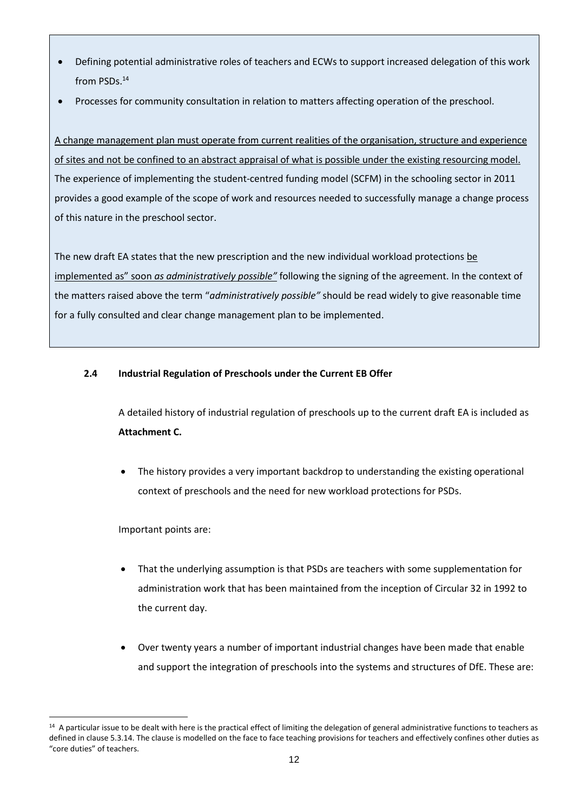- Defining potential administrative roles of teachers and ECWs to support increased delegation of this work from PSDs. 14
- Processes for community consultation in relation to matters affecting operation of the preschool.

A change management plan must operate from current realities of the organisation, structure and experience of sites and not be confined to an abstract appraisal of what is possible under the existing resourcing model. The experience of implementing the student-centred funding model (SCFM) in the schooling sector in 2011 provides a good example of the scope of work and resources needed to successfully manage a change process of this nature in the preschool sector.

The new draft EA states that the new prescription and the new individual workload protections be implemented as" soon *as administratively possible"* following the signing of the agreement. In the context of the matters raised above the term "*administratively possible"* should be read widely to give reasonable time for a fully consulted and clear change management plan to be implemented.

## **2.4 Industrial Regulation of Preschools under the Current EB Offer**

A detailed history of industrial regulation of preschools up to the current draft EA is included as **Attachment C.**

• The history provides a very important backdrop to understanding the existing operational context of preschools and the need for new workload protections for PSDs.

Important points are:

- That the underlying assumption is that PSDs are teachers with some supplementation for administration work that has been maintained from the inception of Circular 32 in 1992 to the current day.
- Over twenty years a number of important industrial changes have been made that enable and support the integration of preschools into the systems and structures of DfE. These are:

<sup>&</sup>lt;sup>14</sup> A particular issue to be dealt with here is the practical effect of limiting the delegation of general administrative functions to teachers as defined in clause 5.3.14. The clause is modelled on the face to face teaching provisions for teachers and effectively confines other duties as "core duties" of teachers.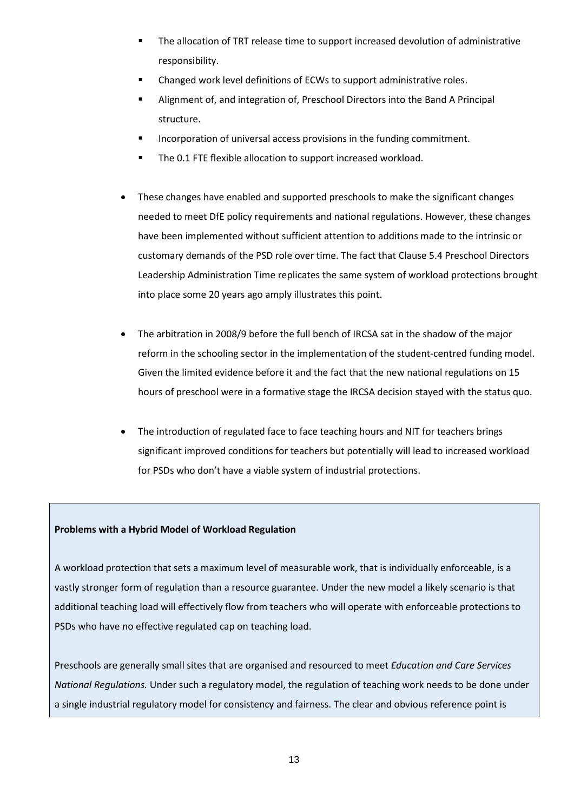- The allocation of TRT release time to support increased devolution of administrative responsibility.
- Changed work level definitions of ECWs to support administrative roles.
- Alignment of, and integration of, Preschool Directors into the Band A Principal structure.
- Incorporation of universal access provisions in the funding commitment.
- The 0.1 FTE flexible allocation to support increased workload.
- These changes have enabled and supported preschools to make the significant changes needed to meet DfE policy requirements and national regulations. However, these changes have been implemented without sufficient attention to additions made to the intrinsic or customary demands of the PSD role over time. The fact that Clause 5.4 Preschool Directors Leadership Administration Time replicates the same system of workload protections brought into place some 20 years ago amply illustrates this point.
- The arbitration in 2008/9 before the full bench of IRCSA sat in the shadow of the major reform in the schooling sector in the implementation of the student-centred funding model. Given the limited evidence before it and the fact that the new national regulations on 15 hours of preschool were in a formative stage the IRCSA decision stayed with the status quo.
- The introduction of regulated face to face teaching hours and NIT for teachers brings significant improved conditions for teachers but potentially will lead to increased workload for PSDs who don't have a viable system of industrial protections.

# **Problems with a Hybrid Model of Workload Regulation**

A workload protection that sets a maximum level of measurable work, that is individually enforceable, is a vastly stronger form of regulation than a resource guarantee. Under the new model a likely scenario is that additional teaching load will effectively flow from teachers who will operate with enforceable protections to PSDs who have no effective regulated cap on teaching load.

Preschools are generally small sites that are organised and resourced to meet *Education and Care Services National Regulations.* Under such a regulatory model, the regulation of teaching work needs to be done under a single industrial regulatory model for consistency and fairness. The clear and obvious reference point is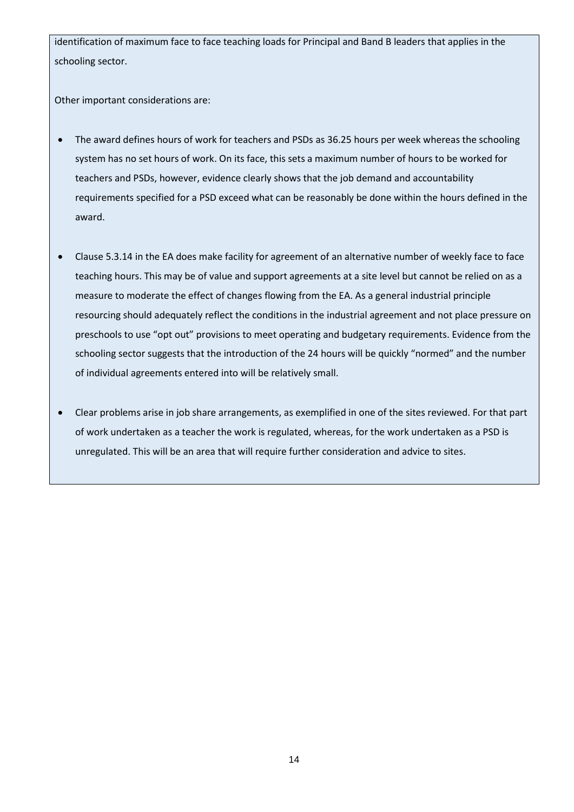identification of maximum face to face teaching loads for Principal and Band B leaders that applies in the schooling sector.

Other important considerations are:

- The award defines hours of work for teachers and PSDs as 36.25 hours per week whereas the schooling system has no set hours of work. On its face, this sets a maximum number of hours to be worked for teachers and PSDs, however, evidence clearly shows that the job demand and accountability requirements specified for a PSD exceed what can be reasonably be done within the hours defined in the award.
- Clause 5.3.14 in the EA does make facility for agreement of an alternative number of weekly face to face teaching hours. This may be of value and support agreements at a site level but cannot be relied on as a measure to moderate the effect of changes flowing from the EA. As a general industrial principle resourcing should adequately reflect the conditions in the industrial agreement and not place pressure on preschools to use "opt out" provisions to meet operating and budgetary requirements. Evidence from the schooling sector suggests that the introduction of the 24 hours will be quickly "normed" and the number of individual agreements entered into will be relatively small.
- Clear problems arise in job share arrangements, as exemplified in one of the sites reviewed. For that part of work undertaken as a teacher the work is regulated, whereas, for the work undertaken as a PSD is unregulated. This will be an area that will require further consideration and advice to sites.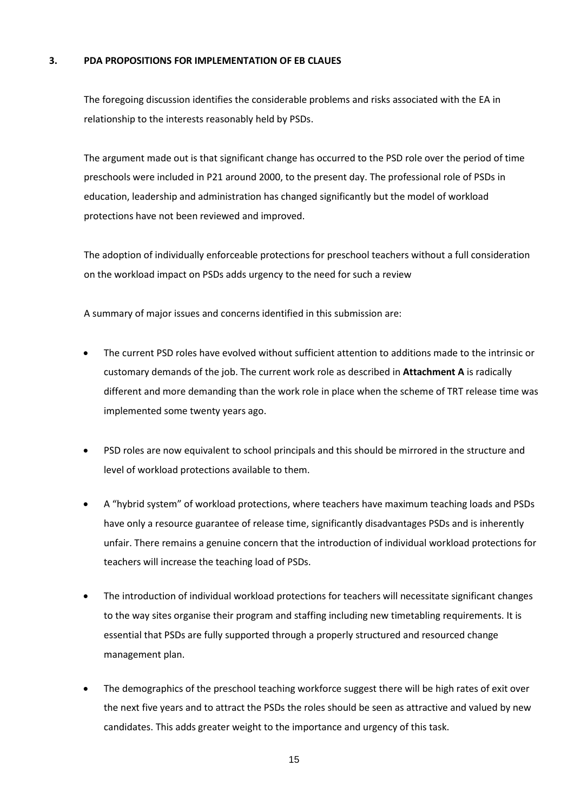#### **3. PDA PROPOSITIONS FOR IMPLEMENTATION OF EB CLAUES**

The foregoing discussion identifies the considerable problems and risks associated with the EA in relationship to the interests reasonably held by PSDs.

The argument made out is that significant change has occurred to the PSD role over the period of time preschools were included in P21 around 2000, to the present day. The professional role of PSDs in education, leadership and administration has changed significantly but the model of workload protections have not been reviewed and improved.

The adoption of individually enforceable protections for preschool teachers without a full consideration on the workload impact on PSDs adds urgency to the need for such a review

A summary of major issues and concerns identified in this submission are:

- The current PSD roles have evolved without sufficient attention to additions made to the intrinsic or customary demands of the job. The current work role as described in **Attachment A** is radically different and more demanding than the work role in place when the scheme of TRT release time was implemented some twenty years ago.
- PSD roles are now equivalent to school principals and this should be mirrored in the structure and level of workload protections available to them.
- A "hybrid system" of workload protections, where teachers have maximum teaching loads and PSDs have only a resource guarantee of release time, significantly disadvantages PSDs and is inherently unfair. There remains a genuine concern that the introduction of individual workload protections for teachers will increase the teaching load of PSDs.
- The introduction of individual workload protections for teachers will necessitate significant changes to the way sites organise their program and staffing including new timetabling requirements. It is essential that PSDs are fully supported through a properly structured and resourced change management plan.
- The demographics of the preschool teaching workforce suggest there will be high rates of exit over the next five years and to attract the PSDs the roles should be seen as attractive and valued by new candidates. This adds greater weight to the importance and urgency of this task.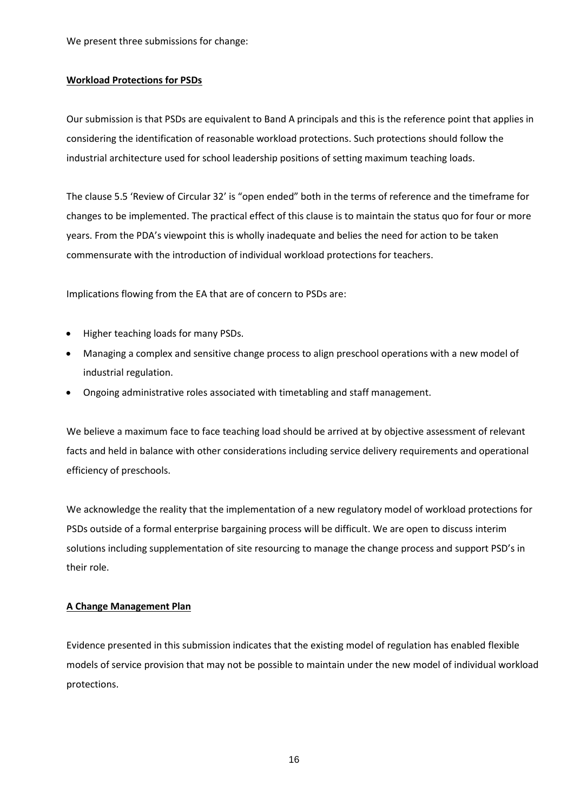We present three submissions for change:

#### **Workload Protections for PSDs**

Our submission is that PSDs are equivalent to Band A principals and this is the reference point that applies in considering the identification of reasonable workload protections. Such protections should follow the industrial architecture used for school leadership positions of setting maximum teaching loads.

The clause 5.5 'Review of Circular 32' is "open ended" both in the terms of reference and the timeframe for changes to be implemented. The practical effect of this clause is to maintain the status quo for four or more years. From the PDA's viewpoint this is wholly inadequate and belies the need for action to be taken commensurate with the introduction of individual workload protections for teachers.

Implications flowing from the EA that are of concern to PSDs are:

- Higher teaching loads for many PSDs.
- Managing a complex and sensitive change process to align preschool operations with a new model of industrial regulation.
- Ongoing administrative roles associated with timetabling and staff management.

We believe a maximum face to face teaching load should be arrived at by objective assessment of relevant facts and held in balance with other considerations including service delivery requirements and operational efficiency of preschools.

We acknowledge the reality that the implementation of a new regulatory model of workload protections for PSDs outside of a formal enterprise bargaining process will be difficult. We are open to discuss interim solutions including supplementation of site resourcing to manage the change process and support PSD's in their role.

#### **A Change Management Plan**

Evidence presented in this submission indicates that the existing model of regulation has enabled flexible models of service provision that may not be possible to maintain under the new model of individual workload protections.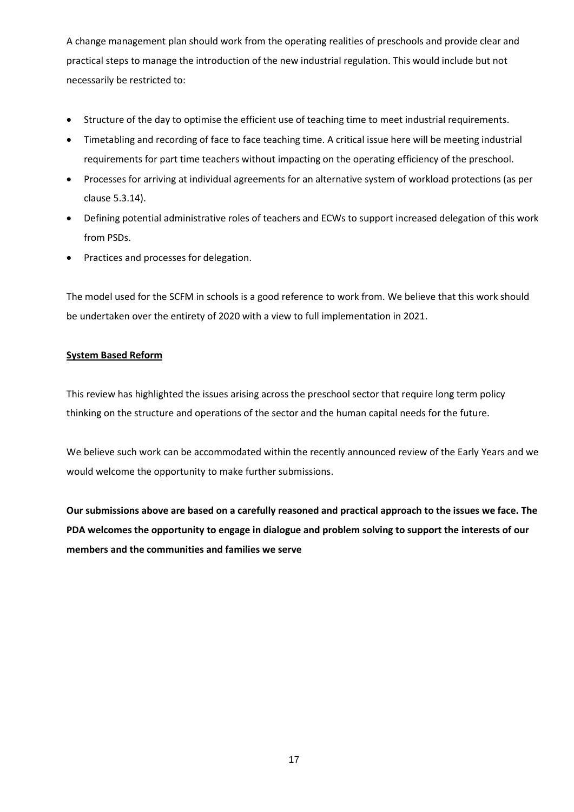A change management plan should work from the operating realities of preschools and provide clear and practical steps to manage the introduction of the new industrial regulation. This would include but not necessarily be restricted to:

- Structure of the day to optimise the efficient use of teaching time to meet industrial requirements.
- Timetabling and recording of face to face teaching time. A critical issue here will be meeting industrial requirements for part time teachers without impacting on the operating efficiency of the preschool.
- Processes for arriving at individual agreements for an alternative system of workload protections (as per clause 5.3.14).
- Defining potential administrative roles of teachers and ECWs to support increased delegation of this work from PSDs.
- Practices and processes for delegation.

The model used for the SCFM in schools is a good reference to work from. We believe that this work should be undertaken over the entirety of 2020 with a view to full implementation in 2021.

# **System Based Reform**

This review has highlighted the issues arising across the preschool sector that require long term policy thinking on the structure and operations of the sector and the human capital needs for the future.

We believe such work can be accommodated within the recently announced review of the Early Years and we would welcome the opportunity to make further submissions.

**Our submissions above are based on a carefully reasoned and practical approach to the issues we face. The PDA welcomes the opportunity to engage in dialogue and problem solving to support the interests of our members and the communities and families we serve**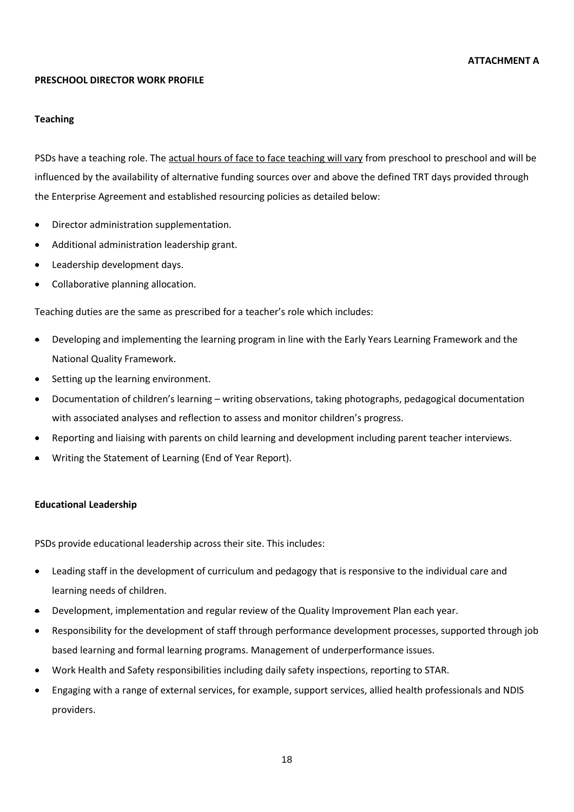#### **PRESCHOOL DIRECTOR WORK PROFILE**

#### **Teaching**

PSDs have a teaching role. The actual hours of face to face teaching will vary from preschool to preschool and will be influenced by the availability of alternative funding sources over and above the defined TRT days provided through the Enterprise Agreement and established resourcing policies as detailed below:

- Director administration supplementation.
- Additional administration leadership grant.
- Leadership development days.
- Collaborative planning allocation.

Teaching duties are the same as prescribed for a teacher's role which includes:

- Developing and implementing the learning program in line with the Early Years Learning Framework and the National Quality Framework.
- Setting up the learning environment.
- Documentation of children's learning writing observations, taking photographs, pedagogical documentation with associated analyses and reflection to assess and monitor children's progress.
- Reporting and liaising with parents on child learning and development including parent teacher interviews.
- Writing the Statement of Learning (End of Year Report).

#### **Educational Leadership**

PSDs provide educational leadership across their site. This includes:

- Leading staff in the development of curriculum and pedagogy that is responsive to the individual care and learning needs of children.
- Development, implementation and regular review of the Quality Improvement Plan each year.
- Responsibility for the development of staff through performance development processes, supported through job based learning and formal learning programs. Management of underperformance issues.
- Work Health and Safety responsibilities including daily safety inspections, reporting to STAR.
- Engaging with a range of external services, for example, support services, allied health professionals and NDIS providers.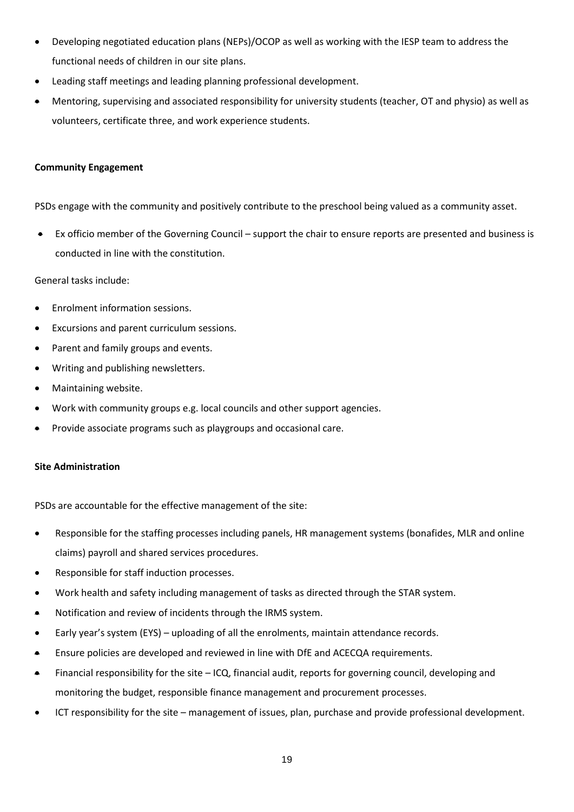- Developing negotiated education plans (NEPs)/OCOP as well as working with the IESP team to address the functional needs of children in our site plans.
- Leading staff meetings and leading planning professional development.
- Mentoring, supervising and associated responsibility for university students (teacher, OT and physio) as well as volunteers, certificate three, and work experience students.

## **Community Engagement**

PSDs engage with the community and positively contribute to the preschool being valued as a community asset.

• Ex officio member of the Governing Council – support the chair to ensure reports are presented and business is conducted in line with the constitution.

#### General tasks include:

- Enrolment information sessions.
- Excursions and parent curriculum sessions.
- Parent and family groups and events.
- Writing and publishing newsletters.
- Maintaining website.
- Work with community groups e.g. local councils and other support agencies.
- Provide associate programs such as playgroups and occasional care.

#### **Site Administration**

PSDs are accountable for the effective management of the site:

- Responsible for the staffing processes including panels, HR management systems (bonafides, MLR and online claims) payroll and shared services procedures.
- Responsible for staff induction processes.
- Work health and safety including management of tasks as directed through the STAR system.
- Notification and review of incidents through the IRMS system.
- Early year's system (EYS) uploading of all the enrolments, maintain attendance records.
- Ensure policies are developed and reviewed in line with DfE and ACECQA requirements.
- Financial responsibility for the site ICQ, financial audit, reports for governing council, developing and monitoring the budget, responsible finance management and procurement processes.
- ICT responsibility for the site management of issues, plan, purchase and provide professional development.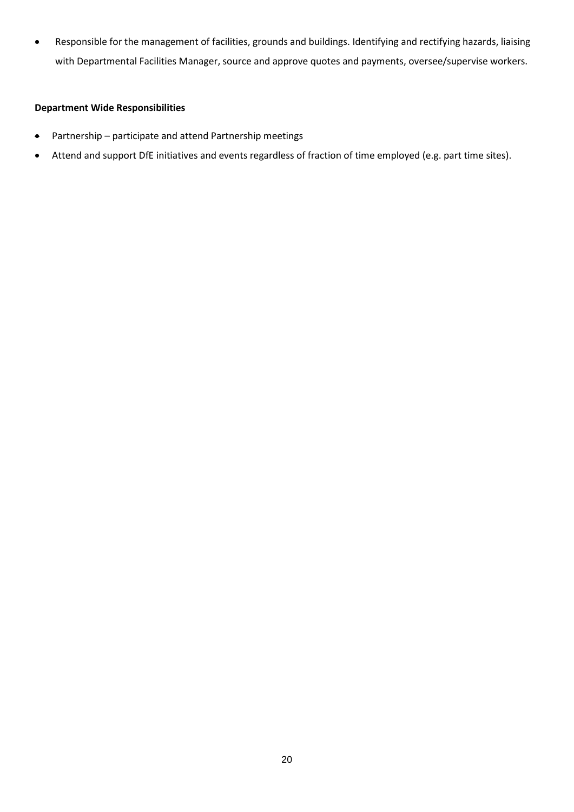• Responsible for the management of facilities, grounds and buildings. Identifying and rectifying hazards, liaising with Departmental Facilities Manager, source and approve quotes and payments, oversee/supervise workers.

#### **Department Wide Responsibilities**

- Partnership participate and attend Partnership meetings
- Attend and support DfE initiatives and events regardless of fraction of time employed (e.g. part time sites).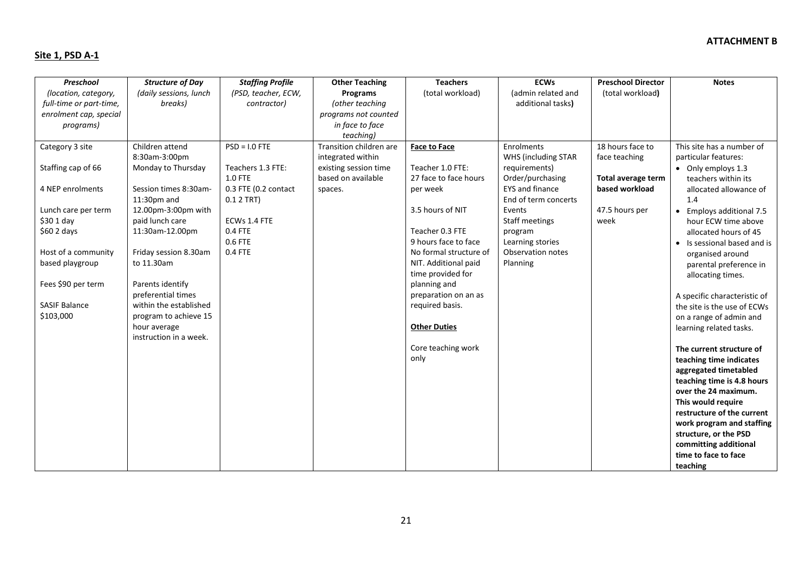# **Site 1, PSD A-1**

| Preschool               | <b>Structure of Day</b> | <b>Staffing Profile</b> | <b>Other Teaching</b>   | <b>Teachers</b>        | <b>ECWs</b>              | <b>Preschool Director</b> | <b>Notes</b>                 |
|-------------------------|-------------------------|-------------------------|-------------------------|------------------------|--------------------------|---------------------------|------------------------------|
| (location, category,    | (daily sessions, lunch  | (PSD, teacher, ECW,     | Programs                | (total workload)       | (admin related and       | (total workload)          |                              |
| full-time or part-time, | breaks)                 | contractor)             | (other teaching         |                        | additional tasks)        |                           |                              |
| enrolment cap, special  |                         |                         | programs not counted    |                        |                          |                           |                              |
| programs)               |                         |                         | in face to face         |                        |                          |                           |                              |
|                         |                         |                         | teaching)               |                        |                          |                           |                              |
| Category 3 site         | Children attend         | $PSD = I.0$ FTE         | Transition children are | <b>Face to Face</b>    | Enrolments               | 18 hours face to          | This site has a number of    |
|                         | 8:30am-3:00pm           |                         | integrated within       |                        | WHS (including STAR      | face teaching             | particular features:         |
| Staffing cap of 66      | Monday to Thursday      | Teachers 1.3 FTE:       | existing session time   | Teacher 1.0 FTE:       | requirements)            |                           | • Only employs 1.3           |
|                         |                         | <b>1.0 FTE</b>          | based on available      | 27 face to face hours  | Order/purchasing         | Total average term        | teachers within its          |
| 4 NEP enrolments        | Session times 8:30am-   | 0.3 FTE (0.2 contact    | spaces.                 | per week               | <b>EYS</b> and finance   | based workload            | allocated allowance of       |
|                         | $11:30$ pm and          | 0.1 2 TRT)              |                         |                        | End of term concerts     |                           | 1.4                          |
| Lunch care per term     | 12.00pm-3:00pm with     |                         |                         | 3.5 hours of NIT       | Events                   | 47.5 hours per            | • Employs additional 7.5     |
| $$301$ day              | paid lunch care         | ECWs 1.4 FTE            |                         |                        | Staff meetings           | week                      | hour ECW time above          |
| \$602 days              | 11:30am-12.00pm         | 0.4 FTE                 |                         | Teacher 0.3 FTE        | program                  |                           | allocated hours of 45        |
|                         |                         | 0.6 FTE                 |                         | 9 hours face to face   | Learning stories         |                           | • Is sessional based and is  |
| Host of a community     | Friday session 8.30am   | 0.4 FTE                 |                         | No formal structure of | <b>Observation notes</b> |                           | organised around             |
| based playgroup         | to 11.30am              |                         |                         | NIT. Additional paid   | Planning                 |                           |                              |
|                         |                         |                         |                         | time provided for      |                          |                           | parental preference in       |
| Fees \$90 per term      | Parents identify        |                         |                         | planning and           |                          |                           | allocating times.            |
|                         | preferential times      |                         |                         | preparation on an as   |                          |                           |                              |
| <b>SASIF Balance</b>    | within the established  |                         |                         | required basis.        |                          |                           | A specific characteristic of |
| \$103,000               | program to achieve 15   |                         |                         |                        |                          |                           | the site is the use of ECWs  |
|                         |                         |                         |                         |                        |                          |                           | on a range of admin and      |
|                         | hour average            |                         |                         | <b>Other Duties</b>    |                          |                           | learning related tasks.      |
|                         | instruction in a week.  |                         |                         |                        |                          |                           |                              |
|                         |                         |                         |                         | Core teaching work     |                          |                           | The current structure of     |
|                         |                         |                         |                         | only                   |                          |                           | teaching time indicates      |
|                         |                         |                         |                         |                        |                          |                           | aggregated timetabled        |
|                         |                         |                         |                         |                        |                          |                           | teaching time is 4.8 hours   |
|                         |                         |                         |                         |                        |                          |                           | over the 24 maximum.         |
|                         |                         |                         |                         |                        |                          |                           | This would require           |
|                         |                         |                         |                         |                        |                          |                           | restructure of the current   |
|                         |                         |                         |                         |                        |                          |                           | work program and staffing    |
|                         |                         |                         |                         |                        |                          |                           | structure, or the PSD        |
|                         |                         |                         |                         |                        |                          |                           | committing additional        |
|                         |                         |                         |                         |                        |                          |                           | time to face to face         |
|                         |                         |                         |                         |                        |                          |                           | teaching                     |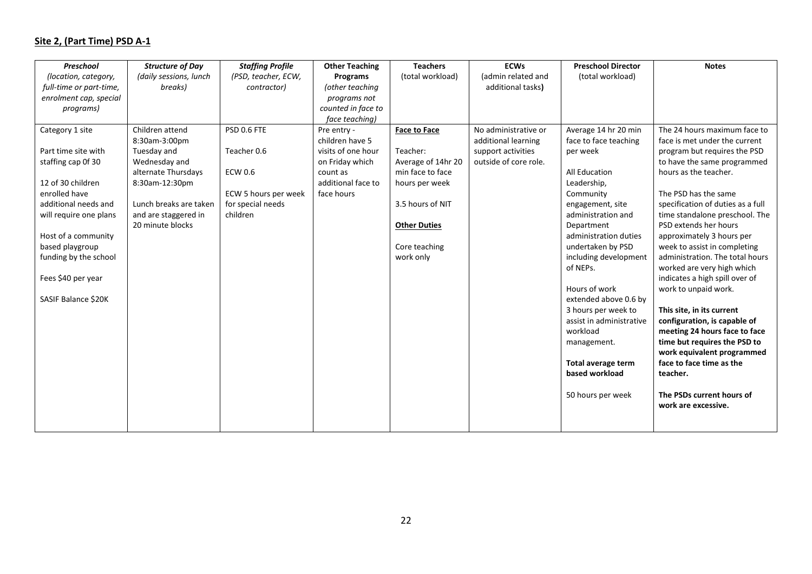# **Site 2, (Part Time) PSD A-1**

| Preschool               | <b>Structure of Day</b> | <b>Staffing Profile</b> | <b>Other Teaching</b> | <b>Teachers</b>     | <b>ECWs</b>           | <b>Preschool Director</b> | <b>Notes</b>                      |
|-------------------------|-------------------------|-------------------------|-----------------------|---------------------|-----------------------|---------------------------|-----------------------------------|
| (location, category,    | (daily sessions, lunch  | (PSD, teacher, ECW,     | Programs              | (total workload)    | (admin related and    | (total workload)          |                                   |
| full-time or part-time, | breaks)                 | contractor)             | (other teaching       |                     | additional tasks)     |                           |                                   |
| enrolment cap, special  |                         |                         | programs not          |                     |                       |                           |                                   |
| programs)               |                         |                         | counted in face to    |                     |                       |                           |                                   |
|                         |                         |                         | face teaching)        |                     |                       |                           |                                   |
| Category 1 site         | Children attend         | PSD 0.6 FTE             | Pre entry -           | <b>Face to Face</b> | No administrative or  | Average 14 hr 20 min      | The 24 hours maximum face to      |
|                         | 8:30am-3:00pm           |                         | children have 5       |                     | additional learning   | face to face teaching     | face is met under the current     |
| Part time site with     | Tuesday and             | Teacher 0.6             | visits of one hour    | Teacher:            | support activities    | per week                  | program but requires the PSD      |
| staffing cap Of 30      | Wednesday and           |                         | on Friday which       | Average of 14hr 20  | outside of core role. |                           | to have the same programmed       |
|                         | alternate Thursdays     | <b>ECW 0.6</b>          | count as              | min face to face    |                       | All Education             | hours as the teacher.             |
| 12 of 30 children       | 8:30am-12:30pm          |                         | additional face to    | hours per week      |                       | Leadership,               |                                   |
| enrolled have           |                         | ECW 5 hours per week    | face hours            |                     |                       | Community                 | The PSD has the same              |
| additional needs and    | Lunch breaks are taken  | for special needs       |                       | 3.5 hours of NIT    |                       | engagement, site          | specification of duties as a full |
| will require one plans  | and are staggered in    | children                |                       |                     |                       | administration and        | time standalone preschool. The    |
|                         | 20 minute blocks        |                         |                       | <b>Other Duties</b> |                       | Department                | PSD extends her hours             |
| Host of a community     |                         |                         |                       |                     |                       | administration duties     | approximately 3 hours per         |
| based playgroup         |                         |                         |                       | Core teaching       |                       | undertaken by PSD         | week to assist in completing      |
| funding by the school   |                         |                         |                       | work only           |                       | including development     | administration. The total hours   |
|                         |                         |                         |                       |                     |                       | of NEPs.                  | worked are very high which        |
| Fees \$40 per year      |                         |                         |                       |                     |                       |                           | indicates a high spill over of    |
|                         |                         |                         |                       |                     |                       | Hours of work             | work to unpaid work.              |
| SASIF Balance \$20K     |                         |                         |                       |                     |                       | extended above 0.6 by     |                                   |
|                         |                         |                         |                       |                     |                       | 3 hours per week to       | This site, in its current         |
|                         |                         |                         |                       |                     |                       | assist in administrative  | configuration, is capable of      |
|                         |                         |                         |                       |                     |                       | workload                  | meeting 24 hours face to face     |
|                         |                         |                         |                       |                     |                       | management.               | time but requires the PSD to      |
|                         |                         |                         |                       |                     |                       |                           | work equivalent programmed        |
|                         |                         |                         |                       |                     |                       | Total average term        | face to face time as the          |
|                         |                         |                         |                       |                     |                       | based workload            | teacher.                          |
|                         |                         |                         |                       |                     |                       | 50 hours per week         | The PSDs current hours of         |
|                         |                         |                         |                       |                     |                       |                           | work are excessive.               |
|                         |                         |                         |                       |                     |                       |                           |                                   |
|                         |                         |                         |                       |                     |                       |                           |                                   |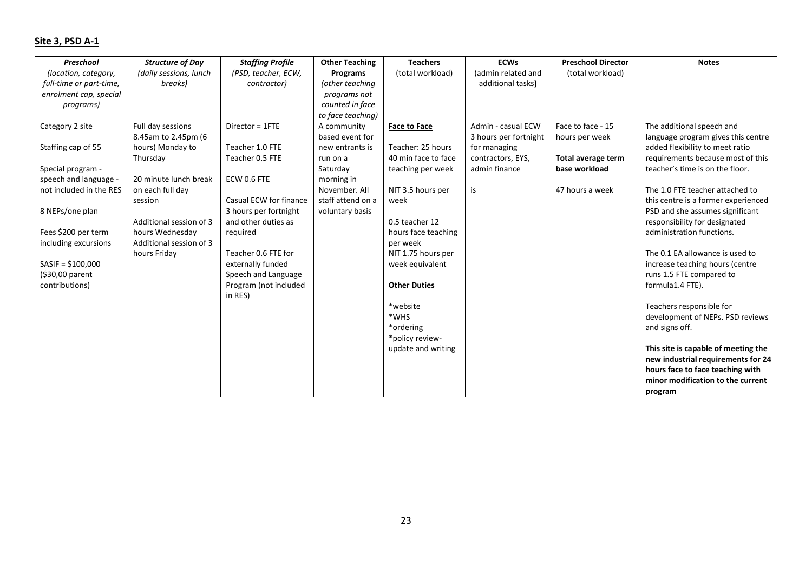# **Site 3, PSD A-1**

| Preschool               | <b>Structure of Day</b> | <b>Staffing Profile</b> | <b>Other Teaching</b> | <b>Teachers</b>     | <b>ECWs</b>           | <b>Preschool Director</b> | <b>Notes</b>                        |
|-------------------------|-------------------------|-------------------------|-----------------------|---------------------|-----------------------|---------------------------|-------------------------------------|
| (location, category,    | (daily sessions, lunch  | (PSD, teacher, ECW,     | Programs              | (total workload)    | (admin related and    | (total workload)          |                                     |
| full-time or part-time, | breaks)                 | contractor)             | (other teaching       |                     | additional tasks)     |                           |                                     |
| enrolment cap, special  |                         |                         | programs not          |                     |                       |                           |                                     |
| programs)               |                         |                         | counted in face       |                     |                       |                           |                                     |
|                         |                         |                         | to face teaching)     |                     |                       |                           |                                     |
| Category 2 site         | Full day sessions       | Director = 1FTE         | A community           | <b>Face to Face</b> | Admin - casual ECW    | Face to face - 15         | The additional speech and           |
|                         | 8.45am to 2.45pm (6     |                         | based event for       |                     | 3 hours per fortnight | hours per week            | language program gives this centre  |
| Staffing cap of 55      | hours) Monday to        | Teacher 1.0 FTE         | new entrants is       | Teacher: 25 hours   | for managing          |                           | added flexibility to meet ratio     |
|                         | Thursday                | Teacher 0.5 FTE         | run on a              | 40 min face to face | contractors, EYS,     | Total average term        | requirements because most of this   |
| Special program -       |                         |                         | Saturday              | teaching per week   | admin finance         | base workload             | teacher's time is on the floor.     |
| speech and language -   | 20 minute lunch break   | ECW 0.6 FTE             | morning in            |                     |                       |                           |                                     |
| not included in the RES | on each full day        |                         | November, All         | NIT 3.5 hours per   | is                    | 47 hours a week           | The 1.0 FTE teacher attached to     |
|                         | session                 | Casual ECW for finance  | staff attend on a     | week                |                       |                           | this centre is a former experienced |
| 8 NEPs/one plan         |                         | 3 hours per fortnight   | voluntary basis       |                     |                       |                           | PSD and she assumes significant     |
|                         | Additional session of 3 | and other duties as     |                       | 0.5 teacher 12      |                       |                           | responsibility for designated       |
| Fees \$200 per term     | hours Wednesday         | required                |                       | hours face teaching |                       |                           | administration functions.           |
| including excursions    | Additional session of 3 |                         |                       | per week            |                       |                           |                                     |
|                         | hours Friday            | Teacher 0.6 FTE for     |                       | NIT 1.75 hours per  |                       |                           | The 0.1 EA allowance is used to     |
| $SASIF = $100,000$      |                         | externally funded       |                       | week equivalent     |                       |                           | increase teaching hours (centre     |
| (\$30,00 parent         |                         | Speech and Language     |                       |                     |                       |                           | runs 1.5 FTE compared to            |
| contributions)          |                         | Program (not included   |                       | <b>Other Duties</b> |                       |                           | formula1.4 FTE).                    |
|                         |                         | in RES)                 |                       |                     |                       |                           |                                     |
|                         |                         |                         |                       | *website            |                       |                           | Teachers responsible for            |
|                         |                         |                         |                       | *WHS                |                       |                           | development of NEPs. PSD reviews    |
|                         |                         |                         |                       | *ordering           |                       |                           | and signs off.                      |
|                         |                         |                         |                       | *policy review-     |                       |                           |                                     |
|                         |                         |                         |                       | update and writing  |                       |                           | This site is capable of meeting the |
|                         |                         |                         |                       |                     |                       |                           | new industrial requirements for 24  |
|                         |                         |                         |                       |                     |                       |                           | hours face to face teaching with    |
|                         |                         |                         |                       |                     |                       |                           | minor modification to the current   |
|                         |                         |                         |                       |                     |                       |                           | program                             |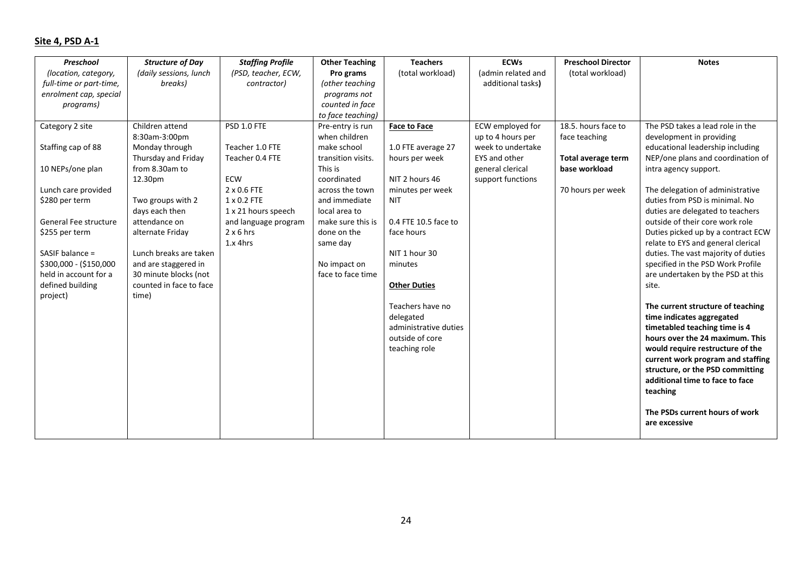# **Site 4, PSD A-1**

| Preschool               | <b>Structure of Day</b> | <b>Staffing Profile</b> | <b>Other Teaching</b> | <b>Teachers</b>       | <b>ECWs</b>        | <b>Preschool Director</b> | <b>Notes</b>                        |
|-------------------------|-------------------------|-------------------------|-----------------------|-----------------------|--------------------|---------------------------|-------------------------------------|
| (location, category,    | (daily sessions, lunch  | (PSD, teacher, ECW,     | Pro grams             | (total workload)      | (admin related and | (total workload)          |                                     |
| full-time or part-time, | breaks)                 | contractor)             | (other teaching       |                       | additional tasks)  |                           |                                     |
| enrolment cap, special  |                         |                         | programs not          |                       |                    |                           |                                     |
| programs)               |                         |                         | counted in face       |                       |                    |                           |                                     |
|                         |                         |                         | to face teaching)     |                       |                    |                           |                                     |
| Category 2 site         | Children attend         | PSD 1.0 FTE             | Pre-entry is run      | <b>Face to Face</b>   | ECW employed for   | 18.5. hours face to       | The PSD takes a lead role in the    |
|                         | 8:30am-3:00pm           |                         | when children         |                       | up to 4 hours per  | face teaching             | development in providing            |
| Staffing cap of 88      | Monday through          | Teacher 1.0 FTE         | make school           | 1.0 FTE average 27    | week to undertake  |                           | educational leadership including    |
|                         | Thursday and Friday     | Teacher 0.4 FTE         | transition visits.    | hours per week        | EYS and other      | Total average term        | NEP/one plans and coordination of   |
| 10 NEPs/one plan        | from 8.30am to          |                         | This is               |                       | general clerical   | base workload             | intra agency support.               |
|                         | 12.30pm                 | ECW                     | coordinated           | NIT 2 hours 46        | support functions  |                           |                                     |
| Lunch care provided     |                         | 2 x 0.6 FTE             | across the town       | minutes per week      |                    | 70 hours per week         | The delegation of administrative    |
| \$280 per term          | Two groups with 2       | $1 \times 0.2$ FTE      | and immediate         | <b>NIT</b>            |                    |                           | duties from PSD is minimal. No      |
|                         | days each then          | 1 x 21 hours speech     | local area to         |                       |                    |                           | duties are delegated to teachers    |
| General Fee structure   | attendance on           | and language program    | make sure this is     | 0.4 FTE 10.5 face to  |                    |                           | outside of their core work role     |
| \$255 per term          | alternate Friday        | $2 \times 6$ hrs        | done on the           | face hours            |                    |                           | Duties picked up by a contract ECW  |
|                         |                         | $1.x$ 4hrs              | same day              |                       |                    |                           | relate to EYS and general clerical  |
| SASIF balance =         | Lunch breaks are taken  |                         |                       | NIT 1 hour 30         |                    |                           | duties. The vast majority of duties |
| \$300,000 - (\$150,000  | and are staggered in    |                         | No impact on          | minutes               |                    |                           | specified in the PSD Work Profile   |
| held in account for a   | 30 minute blocks (not   |                         | face to face time     |                       |                    |                           | are undertaken by the PSD at this   |
| defined building        | counted in face to face |                         |                       | <b>Other Duties</b>   |                    |                           | site.                               |
| project)                | time)                   |                         |                       |                       |                    |                           |                                     |
|                         |                         |                         |                       | Teachers have no      |                    |                           | The current structure of teaching   |
|                         |                         |                         |                       | delegated             |                    |                           | time indicates aggregated           |
|                         |                         |                         |                       | administrative duties |                    |                           | timetabled teaching time is 4       |
|                         |                         |                         |                       | outside of core       |                    |                           | hours over the 24 maximum. This     |
|                         |                         |                         |                       | teaching role         |                    |                           | would require restructure of the    |
|                         |                         |                         |                       |                       |                    |                           | current work program and staffing   |
|                         |                         |                         |                       |                       |                    |                           | structure, or the PSD committing    |
|                         |                         |                         |                       |                       |                    |                           | additional time to face to face     |
|                         |                         |                         |                       |                       |                    |                           | teaching                            |
|                         |                         |                         |                       |                       |                    |                           |                                     |
|                         |                         |                         |                       |                       |                    |                           | The PSDs current hours of work      |
|                         |                         |                         |                       |                       |                    |                           | are excessive                       |
|                         |                         |                         |                       |                       |                    |                           |                                     |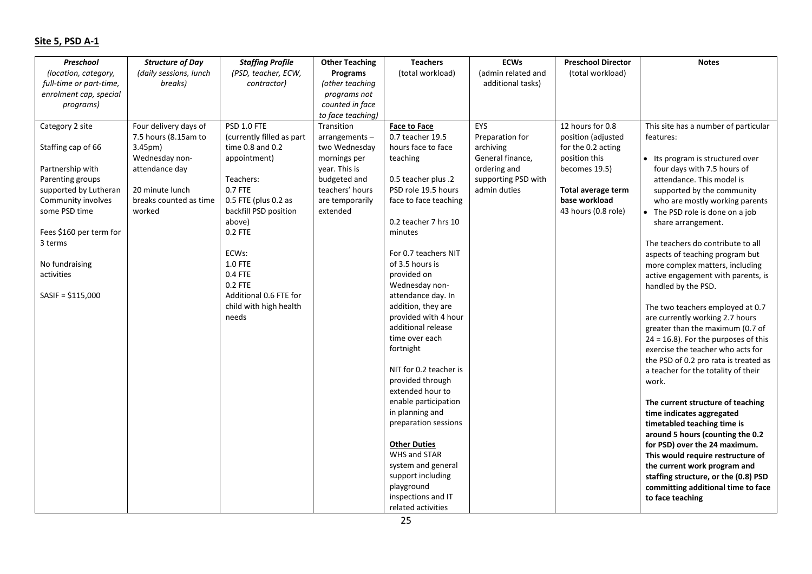# **Site 5, PSD A-1**

| Preschool               | <b>Structure of Day</b> | <b>Staffing Profile</b>   | <b>Other Teaching</b> | <b>Teachers</b>        | <b>ECWs</b>         | <b>Preschool Director</b> | <b>Notes</b>                                              |
|-------------------------|-------------------------|---------------------------|-----------------------|------------------------|---------------------|---------------------------|-----------------------------------------------------------|
| (location, category,    | (daily sessions, lunch  | (PSD, teacher, ECW,       | Programs              | (total workload)       | (admin related and  | (total workload)          |                                                           |
| full-time or part-time, | breaks)                 | contractor)               | (other teaching       |                        | additional tasks)   |                           |                                                           |
| enrolment cap, special  |                         |                           | programs not          |                        |                     |                           |                                                           |
| programs)               |                         |                           | counted in face       |                        |                     |                           |                                                           |
|                         |                         |                           | to face teaching)     |                        |                     |                           |                                                           |
| Category 2 site         | Four delivery days of   | PSD 1.0 FTE               | Transition            | <b>Face to Face</b>    | EYS                 | 12 hours for 0.8          | This site has a number of particular                      |
|                         | 7.5 hours (8.15am to    | (currently filled as part | arrangements-         | 0.7 teacher 19.5       | Preparation for     | position (adjusted        | features:                                                 |
| Staffing cap of 66      | 3.45 <sub>pm</sub>      | time $0.8$ and $0.2$      | two Wednesday         | hours face to face     | archiving           | for the 0.2 acting        |                                                           |
|                         | Wednesday non-          | appointment)              | mornings per          | teaching               | General finance,    | position this             | • Its program is structured over                          |
| Partnership with        | attendance day          |                           | year. This is         |                        | ordering and        | becomes 19.5)             | four days with 7.5 hours of                               |
| Parenting groups        |                         | Teachers:                 | budgeted and          | 0.5 teacher plus .2    | supporting PSD with |                           | attendance. This model is                                 |
| supported by Lutheran   | 20 minute lunch         | 0.7 FTE                   | teachers' hours       | PSD role 19.5 hours    | admin duties        | Total average term        | supported by the community                                |
| Community involves      | breaks counted as time  | 0.5 FTE (plus 0.2 as      | are temporarily       | face to face teaching  |                     | base workload             | who are mostly working parents                            |
| some PSD time           | worked                  | backfill PSD position     | extended              |                        |                     | 43 hours (0.8 role)       | • The PSD role is done on a job                           |
|                         |                         | above)                    |                       | 0.2 teacher 7 hrs 10   |                     |                           | share arrangement.                                        |
| Fees \$160 per term for |                         | 0.2 FTE                   |                       | minutes                |                     |                           |                                                           |
| 3 terms                 |                         | ECWs:                     |                       | For 0.7 teachers NIT   |                     |                           | The teachers do contribute to all                         |
| No fundraising          |                         | <b>1.0 FTE</b>            |                       | of 3.5 hours is        |                     |                           | aspects of teaching program but                           |
| activities              |                         | 0.4 FTE                   |                       | provided on            |                     |                           | more complex matters, including                           |
|                         |                         | 0.2 FTE                   |                       | Wednesday non-         |                     |                           | active engagement with parents, is<br>handled by the PSD. |
| $SASIF = $115,000$      |                         | Additional 0.6 FTE for    |                       | attendance day. In     |                     |                           |                                                           |
|                         |                         | child with high health    |                       | addition, they are     |                     |                           | The two teachers employed at 0.7                          |
|                         |                         | needs                     |                       | provided with 4 hour   |                     |                           | are currently working 2.7 hours                           |
|                         |                         |                           |                       | additional release     |                     |                           | greater than the maximum (0.7 of                          |
|                         |                         |                           |                       | time over each         |                     |                           | $24 = 16.8$ ). For the purposes of this                   |
|                         |                         |                           |                       | fortnight              |                     |                           | exercise the teacher who acts for                         |
|                         |                         |                           |                       |                        |                     |                           | the PSD of 0.2 pro rata is treated as                     |
|                         |                         |                           |                       | NIT for 0.2 teacher is |                     |                           | a teacher for the totality of their                       |
|                         |                         |                           |                       | provided through       |                     |                           | work.                                                     |
|                         |                         |                           |                       | extended hour to       |                     |                           |                                                           |
|                         |                         |                           |                       | enable participation   |                     |                           | The current structure of teaching                         |
|                         |                         |                           |                       | in planning and        |                     |                           | time indicates aggregated                                 |
|                         |                         |                           |                       | preparation sessions   |                     |                           | timetabled teaching time is                               |
|                         |                         |                           |                       |                        |                     |                           | around 5 hours (counting the 0.2                          |
|                         |                         |                           |                       | <b>Other Duties</b>    |                     |                           | for PSD) over the 24 maximum.                             |
|                         |                         |                           |                       | WHS and STAR           |                     |                           | This would require restructure of                         |
|                         |                         |                           |                       | system and general     |                     |                           | the current work program and                              |
|                         |                         |                           |                       | support including      |                     |                           | staffing structure, or the (0.8) PSD                      |
|                         |                         |                           |                       | playground             |                     |                           | committing additional time to face                        |
|                         |                         |                           |                       | inspections and IT     |                     |                           | to face teaching                                          |
|                         |                         |                           |                       | related activities     |                     |                           |                                                           |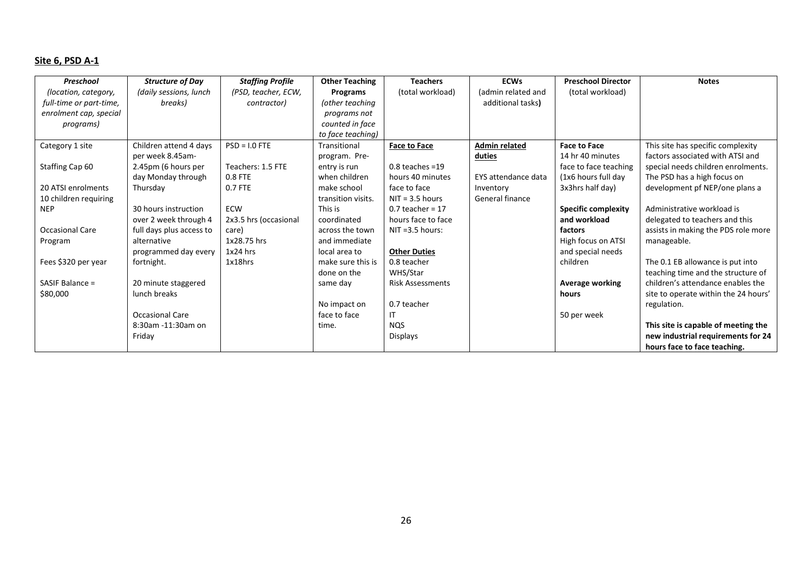# **Site 6, PSD A-1**

| Preschool               | <b>Structure of Day</b>  | <b>Staffing Profile</b> | <b>Other Teaching</b> | <b>Teachers</b>         | <b>ECWs</b>          | <b>Preschool Director</b>  | <b>Notes</b>                         |
|-------------------------|--------------------------|-------------------------|-----------------------|-------------------------|----------------------|----------------------------|--------------------------------------|
| (location, category,    | (daily sessions, lunch   | (PSD, teacher, ECW,     | Programs              | (total workload)        | (admin related and   | (total workload)           |                                      |
| full-time or part-time, | breaks)                  | contractor)             | (other teaching       |                         | additional tasks)    |                            |                                      |
| enrolment cap, special  |                          |                         | programs not          |                         |                      |                            |                                      |
| programs)               |                          |                         | counted in face       |                         |                      |                            |                                      |
|                         |                          |                         | to face teaching)     |                         |                      |                            |                                      |
| Category 1 site         | Children attend 4 days   | $PSD = I.0$ FTE         | Transitional          | <b>Face to Face</b>     | <b>Admin related</b> | <b>Face to Face</b>        | This site has specific complexity    |
|                         | per week 8.45am-         |                         | program. Pre-         |                         | duties               | 14 hr 40 minutes           | factors associated with ATSI and     |
| Staffing Cap 60         | 2.45pm (6 hours per      | Teachers: 1.5 FTE       | entry is run          | $0.8$ teaches = 19      |                      | face to face teaching      | special needs children enrolments.   |
|                         | day Monday through       | $0.8$ FTE               | when children         | hours 40 minutes        | EYS attendance data  | (1x6 hours full day        | The PSD has a high focus on          |
| 20 ATSI enrolments      | Thursday                 | 0.7 FTE                 | make school           | face to face            | Inventory            | 3x3hrs half day)           | development pf NEP/one plans a       |
| 10 children requiring   |                          |                         | transition visits.    | $NIT = 3.5$ hours       | General finance      |                            |                                      |
| <b>NEP</b>              | 30 hours instruction     | <b>ECW</b>              | This is               | $0.7$ teacher = 17      |                      | <b>Specific complexity</b> | Administrative workload is           |
|                         | over 2 week through 4    | 2x3.5 hrs (occasional   | coordinated           | hours face to face      |                      | and workload               | delegated to teachers and this       |
| Occasional Care         | full days plus access to | care)                   | across the town       | $NIT = 3.5$ hours:      |                      | factors                    | assists in making the PDS role more  |
| Program                 | alternative              | 1x28.75 hrs             | and immediate         |                         |                      | High focus on ATSI         | manageable.                          |
|                         | programmed day every     | $1x24$ hrs              | local area to         | <b>Other Duties</b>     |                      | and special needs          |                                      |
| Fees \$320 per year     | fortnight.               | $1x18$ hrs              | make sure this is     | 0.8 teacher             |                      | children                   | The 0.1 EB allowance is put into     |
|                         |                          |                         | done on the           | WHS/Star                |                      |                            | teaching time and the structure of   |
| SASIF Balance $=$       | 20 minute staggered      |                         | same day              | <b>Risk Assessments</b> |                      | Average working            | children's attendance enables the    |
| \$80,000                | lunch breaks             |                         |                       |                         |                      | hours                      | site to operate within the 24 hours' |
|                         |                          |                         | No impact on          | 0.7 teacher             |                      |                            | regulation.                          |
|                         | Occasional Care          |                         | face to face          | IT                      |                      | 50 per week                |                                      |
|                         | 8:30am -11:30am on       |                         | time.                 | <b>NOS</b>              |                      |                            | This site is capable of meeting the  |
|                         | Friday                   |                         |                       | <b>Displays</b>         |                      |                            | new industrial requirements for 24   |
|                         |                          |                         |                       |                         |                      |                            | hours face to face teaching.         |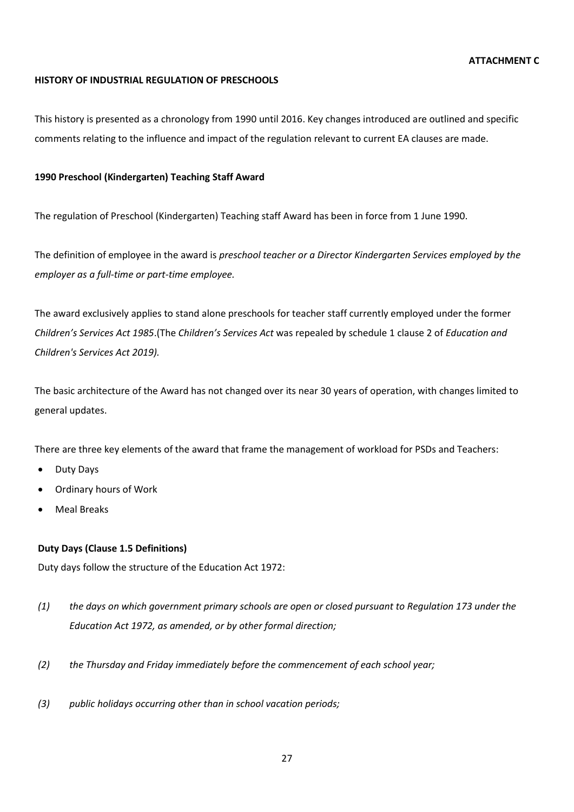#### **ATTACHMENT C**

#### **HISTORY OF INDUSTRIAL REGULATION OF PRESCHOOLS**

This history is presented as a chronology from 1990 until 2016. Key changes introduced are outlined and specific comments relating to the influence and impact of the regulation relevant to current EA clauses are made.

### **1990 Preschool (Kindergarten) Teaching Staff Award**

The regulation of Preschool (Kindergarten) Teaching staff Award has been in force from 1 June 1990.

The definition of employee in the award is *preschool teacher or a Director Kindergarten Services employed by the employer as a full-time or part-time employee.*

The award exclusively applies to stand alone preschools for teacher staff currently employed under the former *Children's Services Act 1985*.(The *Children's Services Act* was repealed by schedule 1 clause 2 of *[Education and](https://www.legislation.sa.gov.au/LZ/C/A/Education%20and%20Childrens%20Services%20Act%202019.aspx)  [Children's Services Act 2019\)](https://www.legislation.sa.gov.au/LZ/C/A/Education%20and%20Childrens%20Services%20Act%202019.aspx).*

The basic architecture of the Award has not changed over its near 30 years of operation, with changes limited to general updates.

There are three key elements of the award that frame the management of workload for PSDs and Teachers:

- Duty Days
- Ordinary hours of Work
- Meal Breaks

#### **Duty Days (Clause 1.5 Definitions)**

Duty days follow the structure of the Education Act 1972:

- *(1) the days on which government primary schools are open or closed pursuant to Regulation 173 under the Education Act 1972, as amended, or by other formal direction;*
- *(2) the Thursday and Friday immediately before the commencement of each school year;*
- *(3) public holidays occurring other than in school vacation periods;*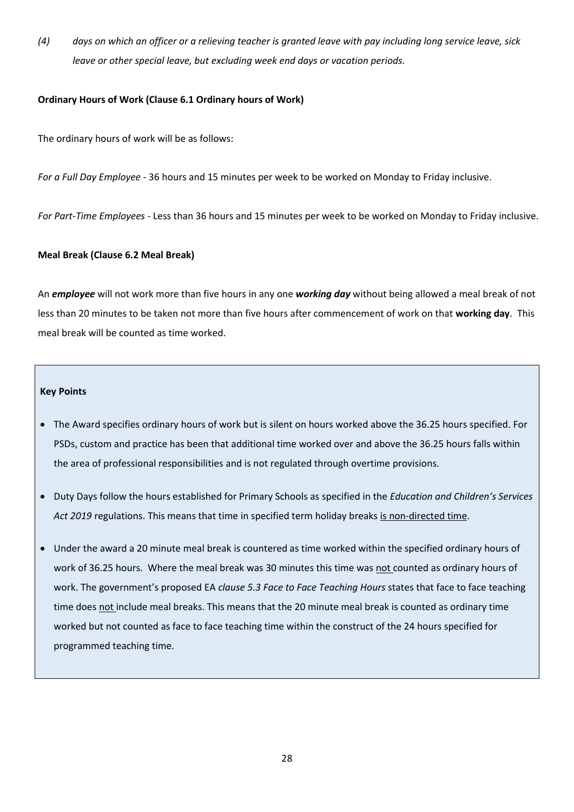*(4) days on which an officer or a relieving teacher is granted leave with pay including long service leave, sick leave or other special leave, but excluding week end days or vacation periods.*

#### **Ordinary Hours of Work (Clause 6.1 Ordinary hours of Work)**

The ordinary hours of work will be as follows:

*For a Full Day Employee* - 36 hours and 15 minutes per week to be worked on Monday to Friday inclusive.

*For Part-Time Employees* - Less than 36 hours and 15 minutes per week to be worked on Monday to Friday inclusive.

### **Meal Break (Clause 6.2 Meal Break)**

An *employee* will not work more than five hours in any one *working day* without being allowed a meal break of not less than 20 minutes to be taken not more than five hours after commencement of work on that **working day**. This meal break will be counted as time worked.

#### **Key Points**

- The Award specifies ordinary hours of work but is silent on hours worked above the 36.25 hours specified. For PSDs, custom and practice has been that additional time worked over and above the 36.25 hours falls within the area of professional responsibilities and is not regulated through overtime provisions.
- Duty Days follow the hours established for Primary Schools as specified in the *Education and Children's Services Act 2019* regulations. This means that time in specified term holiday breaks is non-directed time.
- Under the award a 20 minute meal break is countered as time worked within the specified ordinary hours of work of 36.25 hours. Where the meal break was 30 minutes this time was not counted as ordinary hours of work. The government's proposed EA *clause 5.3 Face to Face Teaching Hours* states that face to face teaching time does not include meal breaks. This means that the 20 minute meal break is counted as ordinary time worked but not counted as face to face teaching time within the construct of the 24 hours specified for programmed teaching time.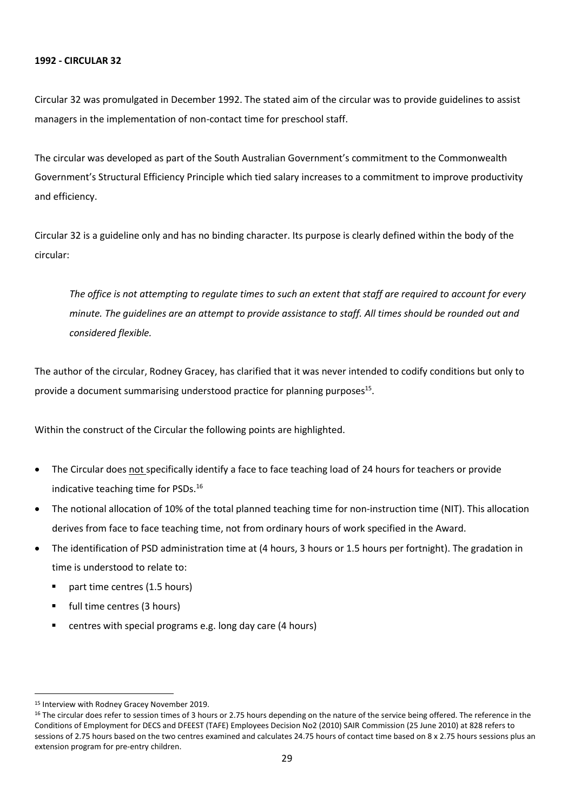#### **1992 - CIRCULAR 32**

Circular 32 was promulgated in December 1992. The stated aim of the circular was to provide guidelines to assist managers in the implementation of non-contact time for preschool staff.

The circular was developed as part of the South Australian Government's commitment to the Commonwealth Government's Structural Efficiency Principle which tied salary increases to a commitment to improve productivity and efficiency.

Circular 32 is a guideline only and has no binding character. Its purpose is clearly defined within the body of the circular:

*The office is not attempting to regulate times to such an extent that staff are required to account for every minute. The guidelines are an attempt to provide assistance to staff. All times should be rounded out and considered flexible.*

The author of the circular, Rodney Gracey, has clarified that it was never intended to codify conditions but only to provide a document summarising understood practice for planning purposes<sup>15</sup>.

Within the construct of the Circular the following points are highlighted.

- The Circular does not specifically identify a face to face teaching load of 24 hours for teachers or provide indicative teaching time for PSDs.<sup>16</sup>
- The notional allocation of 10% of the total planned teaching time for non-instruction time (NIT). This allocation derives from face to face teaching time, not from ordinary hours of work specified in the Award.
- The identification of PSD administration time at (4 hours, 3 hours or 1.5 hours per fortnight). The gradation in time is understood to relate to:
	- part time centres (1.5 hours)
	- full time centres (3 hours)
	- centres with special programs e.g. long day care (4 hours)

<sup>15</sup> Interview with Rodney Gracey November 2019.

<sup>&</sup>lt;sup>16</sup> The circular does refer to session times of 3 hours or 2.75 hours depending on the nature of the service being offered. The reference in the Conditions of Employment for DECS and DFEEST (TAFE) Employees Decision No2 (2010) SAIR Commission (25 June 2010) at 828 refers to sessions of 2.75 hours based on the two centres examined and calculates 24.75 hours of contact time based on 8 x 2.75 hours sessions plus an extension program for pre-entry children.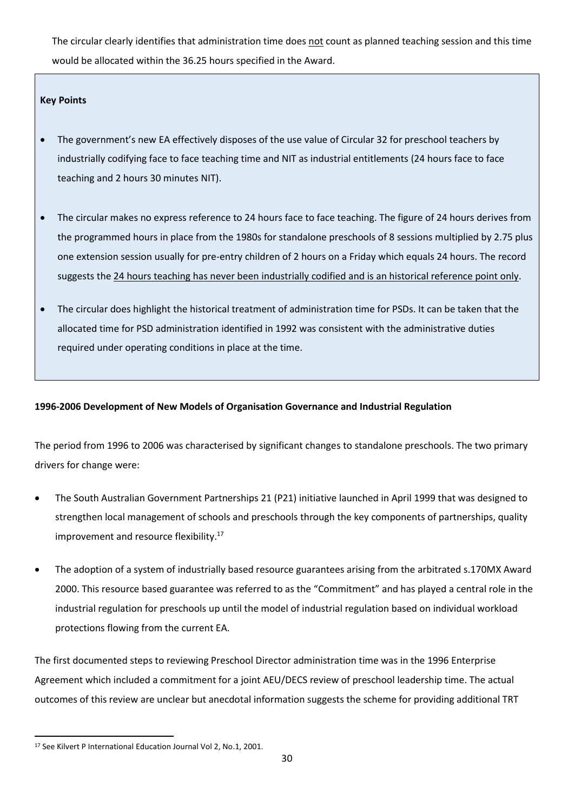The circular clearly identifies that administration time does not count as planned teaching session and this time would be allocated within the 36.25 hours specified in the Award.

#### **Key Points**

- The government's new EA effectively disposes of the use value of Circular 32 for preschool teachers by industrially codifying face to face teaching time and NIT as industrial entitlements (24 hours face to face teaching and 2 hours 30 minutes NIT).
- The circular makes no express reference to 24 hours face to face teaching. The figure of 24 hours derives from the programmed hours in place from the 1980s for standalone preschools of 8 sessions multiplied by 2.75 plus one extension session usually for pre-entry children of 2 hours on a Friday which equals 24 hours. The record suggests the 24 hours teaching has never been industrially codified and is an historical reference point only.
- The circular does highlight the historical treatment of administration time for PSDs. It can be taken that the allocated time for PSD administration identified in 1992 was consistent with the administrative duties required under operating conditions in place at the time.

# **1996-2006 Development of New Models of Organisation Governance and Industrial Regulation**

The period from 1996 to 2006 was characterised by significant changes to standalone preschools. The two primary drivers for change were:

- The South Australian Government Partnerships 21 (P21) initiative launched in April 1999 that was designed to strengthen local management of schools and preschools through the key components of partnerships, quality improvement and resource flexibility.<sup>17</sup>
- The adoption of a system of industrially based resource guarantees arising from the arbitrated s.170MX Award 2000. This resource based guarantee was referred to as the "Commitment" and has played a central role in the industrial regulation for preschools up until the model of industrial regulation based on individual workload protections flowing from the current EA.

The first documented steps to reviewing Preschool Director administration time was in the 1996 Enterprise Agreement which included a commitment for a joint AEU/DECS review of preschool leadership time. The actual outcomes of this review are unclear but anecdotal information suggests the scheme for providing additional TRT

<sup>17</sup> See Kilvert P International Education Journal Vol 2, No.1, 2001.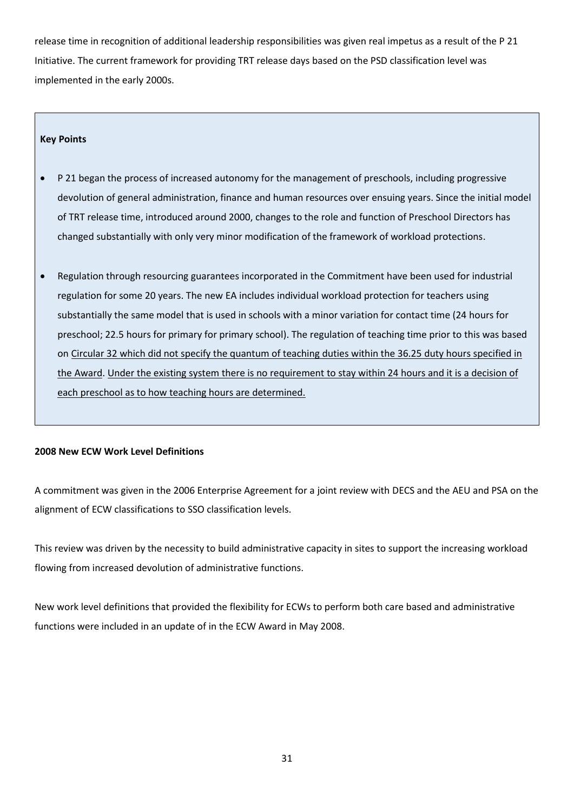release time in recognition of additional leadership responsibilities was given real impetus as a result of the P 21 Initiative. The current framework for providing TRT release days based on the PSD classification level was implemented in the early 2000s.

#### **Key Points**

- P 21 began the process of increased autonomy for the management of preschools, including progressive devolution of general administration, finance and human resources over ensuing years. Since the initial model of TRT release time, introduced around 2000, changes to the role and function of Preschool Directors has changed substantially with only very minor modification of the framework of workload protections.
- Regulation through resourcing guarantees incorporated in the Commitment have been used for industrial regulation for some 20 years. The new EA includes individual workload protection for teachers using substantially the same model that is used in schools with a minor variation for contact time (24 hours for preschool; 22.5 hours for primary for primary school). The regulation of teaching time prior to this was based on Circular 32 which did not specify the quantum of teaching duties within the 36.25 duty hours specified in the Award. Under the existing system there is no requirement to stay within 24 hours and it is a decision of each preschool as to how teaching hours are determined.

#### **2008 New ECW Work Level Definitions**

A commitment was given in the 2006 Enterprise Agreement for a joint review with DECS and the AEU and PSA on the alignment of ECW classifications to SSO classification levels.

This review was driven by the necessity to build administrative capacity in sites to support the increasing workload flowing from increased devolution of administrative functions.

New work level definitions that provided the flexibility for ECWs to perform both care based and administrative functions were included in an update of in the ECW Award in May 2008.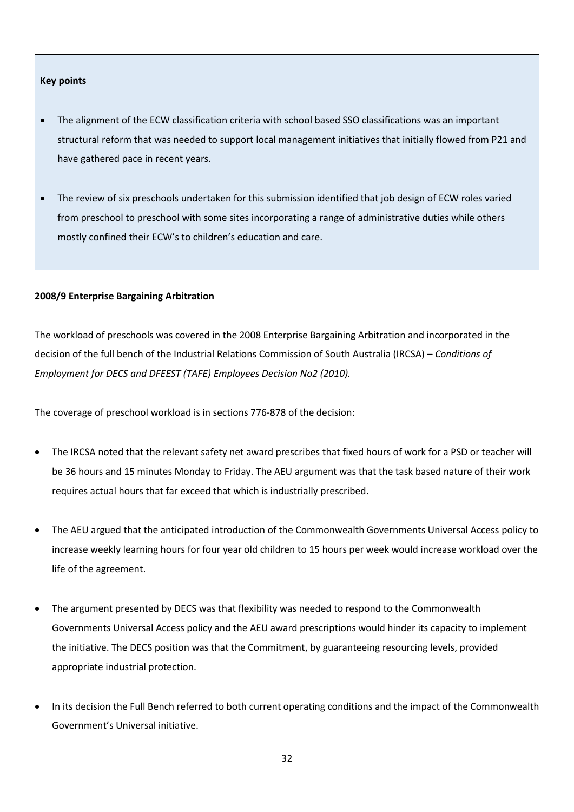#### **Key points**

- The alignment of the ECW classification criteria with school based SSO classifications was an important structural reform that was needed to support local management initiatives that initially flowed from P21 and have gathered pace in recent years.
- The review of six preschools undertaken for this submission identified that job design of ECW roles varied from preschool to preschool with some sites incorporating a range of administrative duties while others mostly confined their ECW's to children's education and care.

#### **2008/9 Enterprise Bargaining Arbitration**

The workload of preschools was covered in the 2008 Enterprise Bargaining Arbitration and incorporated in the decision of the full bench of the Industrial Relations Commission of South Australia (IRCSA) – *Conditions of Employment for DECS and DFEEST (TAFE) Employees Decision No2 (2010).*

The coverage of preschool workload is in sections 776-878 of the decision:

- The IRCSA noted that the relevant safety net award prescribes that fixed hours of work for a PSD or teacher will be 36 hours and 15 minutes Monday to Friday. The AEU argument was that the task based nature of their work requires actual hours that far exceed that which is industrially prescribed.
- The AEU argued that the anticipated introduction of the Commonwealth Governments Universal Access policy to increase weekly learning hours for four year old children to 15 hours per week would increase workload over the life of the agreement.
- The argument presented by DECS was that flexibility was needed to respond to the Commonwealth Governments Universal Access policy and the AEU award prescriptions would hinder its capacity to implement the initiative. The DECS position was that the Commitment, by guaranteeing resourcing levels, provided appropriate industrial protection.
- In its decision the Full Bench referred to both current operating conditions and the impact of the Commonwealth Government's Universal initiative.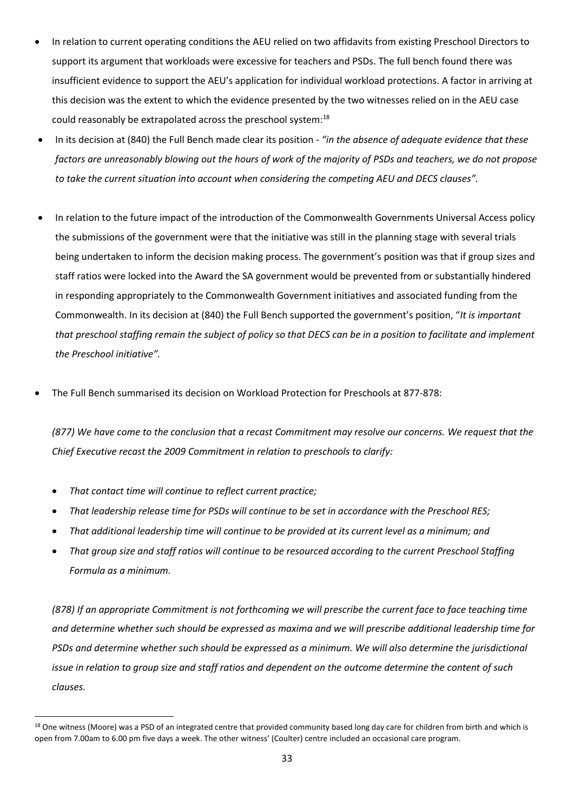- In relation to current operating conditions the AEU relied on two affidavits from existing Preschool Directors to support its argument that workloads were excessive for teachers and PSDs. The full bench found there was insufficient evidence to support the AEU's application for individual workload protections. A factor in arriving at this decision was the extent to which the evidence presented by the two witnesses relied on in the AEU case could reasonably be extrapolated across the preschool system:<sup>18</sup>
- In its decision at (840) the Full Bench made clear its position *"in the absence of adequate evidence that these factors are unreasonably blowing out the hours of work of the majority of PSDs and teachers, we do not propose to take the current situation into account when considering the competing AEU and DECS clauses".*
- In relation to the future impact of the introduction of the Commonwealth Governments Universal Access policy the submissions of the government were that the initiative was still in the planning stage with several trials being undertaken to inform the decision making process. The government's position was that if group sizes and staff ratios were locked into the Award the SA government would be prevented from or substantially hindered in responding appropriately to the Commonwealth Government initiatives and associated funding from the Commonwealth. In its decision at (840) the Full Bench supported the government's position, "*It is important* that preschool staffing remain the subject of policy so that DECS can be in a position to facilitate and implement *the Preschool initiative".*
- The Full Bench summarised its decision on Workload Protection for Preschools at 877-878:

*(877) We have come to the conclusion that a recast Commitment may resolve our concerns. We request that the Chief Executive recast the 2009 Commitment in relation to preschools to clarify:*

- *That contact time will continue to reflect current practice;*
- *That leadership release time for PSDs will continue to be set in accordance with the Preschool RES;*
- *That additional leadership time will continue to be provided at its current level as a minimum; and*
- *That group size and staff ratios will continue to be resourced according to the current Preschool Staffing Formula as a minimum.*

*(878) If an appropriate Commitment is not forthcoming we will prescribe the current face to face teaching time and determine whether such should be expressed as maxima and we will prescribe additional leadership time for PSDs and determine whether such should be expressed as a minimum. We will also determine the jurisdictional issue in relation to group size and staff ratios and dependent on the outcome determine the content of such clauses.*

<sup>&</sup>lt;sup>18</sup> One witness (Moore) was a PSD of an integrated centre that provided community based long day care for children from birth and which is open from 7.00am to 6.00 pm five days a week. The other witness' (Coulter) centre included an occasional care program.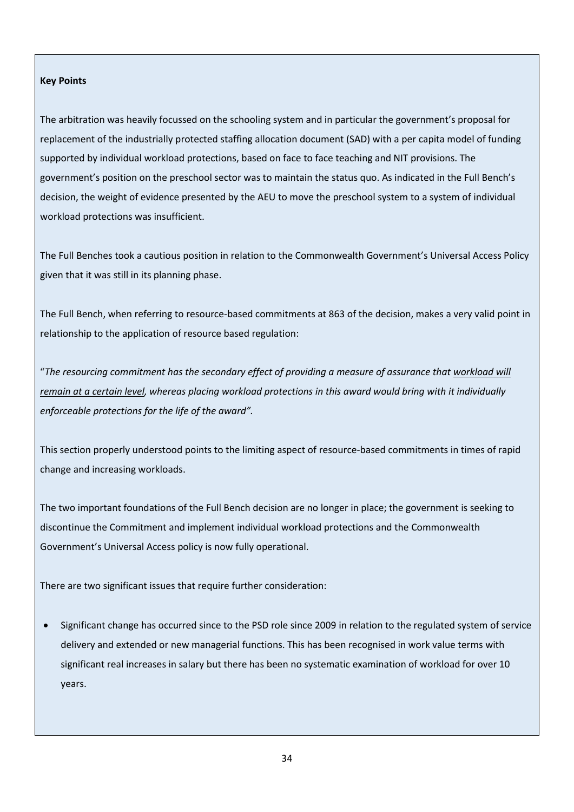#### **Key Points**

The arbitration was heavily focussed on the schooling system and in particular the government's proposal for replacement of the industrially protected staffing allocation document (SAD) with a per capita model of funding supported by individual workload protections, based on face to face teaching and NIT provisions. The government's position on the preschool sector was to maintain the status quo. As indicated in the Full Bench's decision, the weight of evidence presented by the AEU to move the preschool system to a system of individual workload protections was insufficient.

The Full Benches took a cautious position in relation to the Commonwealth Government's Universal Access Policy given that it was still in its planning phase.

The Full Bench, when referring to resource-based commitments at 863 of the decision, makes a very valid point in relationship to the application of resource based regulation:

"*The resourcing commitment has the secondary effect of providing a measure of assurance that workload will remain at a certain level, whereas placing workload protections in this award would bring with it individually enforceable protections for the life of the award".*

This section properly understood points to the limiting aspect of resource-based commitments in times of rapid change and increasing workloads.

The two important foundations of the Full Bench decision are no longer in place; the government is seeking to discontinue the Commitment and implement individual workload protections and the Commonwealth Government's Universal Access policy is now fully operational.

There are two significant issues that require further consideration:

• Significant change has occurred since to the PSD role since 2009 in relation to the regulated system of service delivery and extended or new managerial functions. This has been recognised in work value terms with significant real increases in salary but there has been no systematic examination of workload for over 10 years.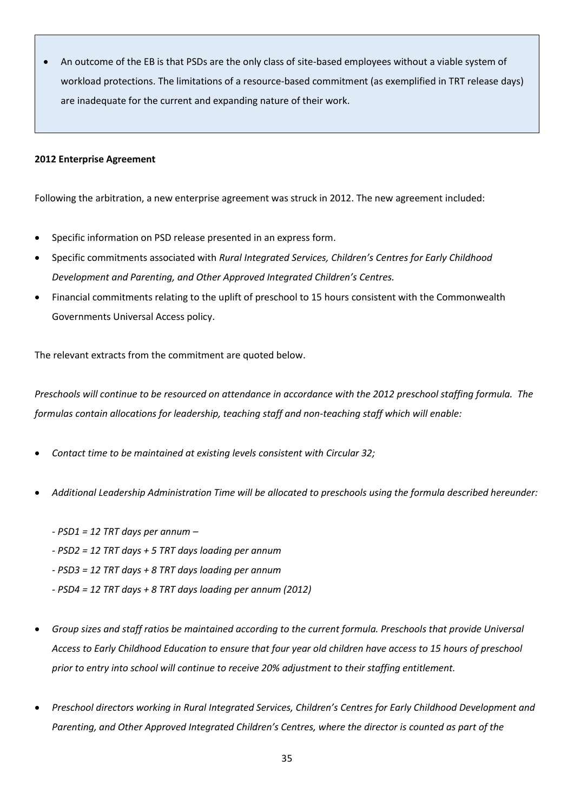• An outcome of the EB is that PSDs are the only class of site-based employees without a viable system of workload protections. The limitations of a resource-based commitment (as exemplified in TRT release days) are inadequate for the current and expanding nature of their work.

#### **2012 Enterprise Agreement**

Following the arbitration, a new enterprise agreement was struck in 2012. The new agreement included:

- Specific information on PSD release presented in an express form.
- Specific commitments associated with *Rural Integrated Services, Children's Centres for Early Childhood Development and Parenting, and Other Approved Integrated Children's Centres.*
- Financial commitments relating to the uplift of preschool to 15 hours consistent with the Commonwealth Governments Universal Access policy.

The relevant extracts from the commitment are quoted below.

*Preschools will continue to be resourced on attendance in accordance with the 2012 preschool staffing formula. The formulas contain allocations for leadership, teaching staff and non-teaching staff which will enable:* 

- *Contact time to be maintained at existing levels consistent with Circular 32;*
- *Additional Leadership Administration Time will be allocated to preschools using the formula described hereunder:*
	- *- PSD1 = 12 TRT days per annum –*
	- *- PSD2 = 12 TRT days + 5 TRT days loading per annum*
	- *- PSD3 = 12 TRT days + 8 TRT days loading per annum*
	- *- PSD4 = 12 TRT days + 8 TRT days loading per annum (2012)*
- *Group sizes and staff ratios be maintained according to the current formula. Preschools that provide Universal Access to Early Childhood Education to ensure that four year old children have access to 15 hours of preschool prior to entry into school will continue to receive 20% adjustment to their staffing entitlement.*
- *Preschool directors working in Rural Integrated Services, Children's Centres for Early Childhood Development and Parenting, and Other Approved Integrated Children's Centres, where the director is counted as part of the*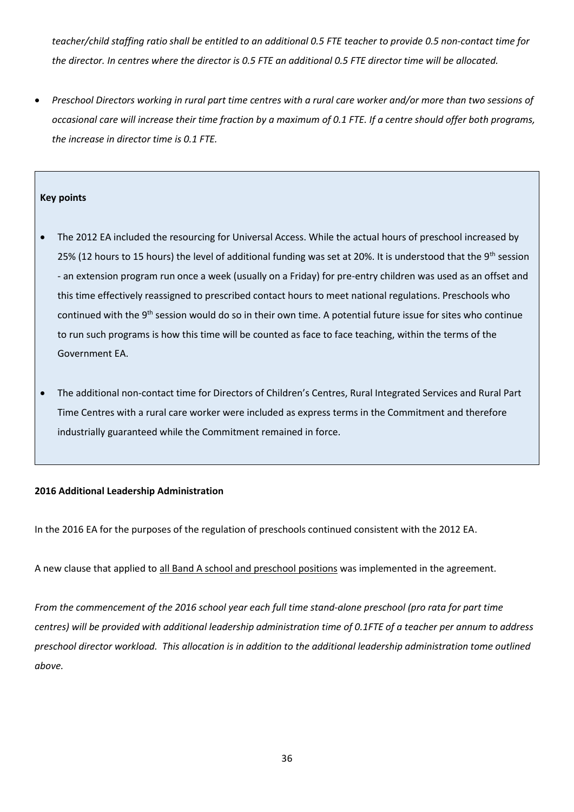*teacher/child staffing ratio shall be entitled to an additional 0.5 FTE teacher to provide 0.5 non-contact time for the director. In centres where the director is 0.5 FTE an additional 0.5 FTE director time will be allocated.* 

• *Preschool Directors working in rural part time centres with a rural care worker and/or more than two sessions of occasional care will increase their time fraction by a maximum of 0.1 FTE. If a centre should offer both programs, the increase in director time is 0.1 FTE.* 

#### **Key points**

- The 2012 EA included the resourcing for Universal Access. While the actual hours of preschool increased by 25% (12 hours to 15 hours) the level of additional funding was set at 20%. It is understood that the 9<sup>th</sup> session - an extension program run once a week (usually on a Friday) for pre-entry children was used as an offset and this time effectively reassigned to prescribed contact hours to meet national regulations. Preschools who continued with the 9<sup>th</sup> session would do so in their own time. A potential future issue for sites who continue to run such programs is how this time will be counted as face to face teaching, within the terms of the Government EA.
- The additional non-contact time for Directors of Children's Centres, Rural Integrated Services and Rural Part Time Centres with a rural care worker were included as express terms in the Commitment and therefore industrially guaranteed while the Commitment remained in force.

#### **2016 Additional Leadership Administration**

In the 2016 EA for the purposes of the regulation of preschools continued consistent with the 2012 EA.

A new clause that applied to all Band A school and preschool positions was implemented in the agreement.

*From the commencement of the 2016 school year each full time stand-alone preschool (pro rata for part time centres) will be provided with additional leadership administration time of 0.1FTE of a teacher per annum to address preschool director workload. This allocation is in addition to the additional leadership administration tome outlined above.*